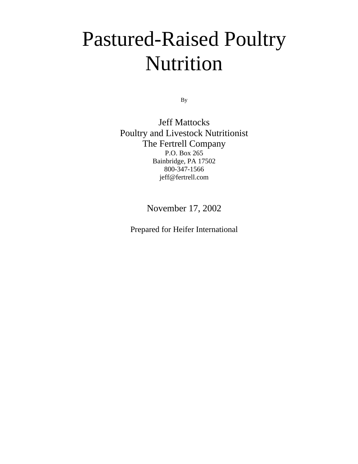# Pastured-Raised Poultry Nutrition

By

Jeff Mattocks Poultry and Livestock Nutritionist The Fertrell Company P.O. Box 265 Bainbridge, PA 17502 800-347-1566 jeff@fertrell.com

November 17, 2002

Prepared for Heifer International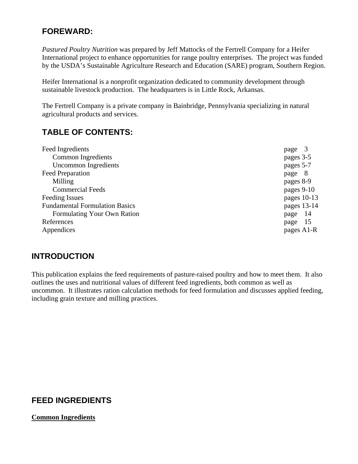## **FOREWARD:**

*Pastured Poultry Nutrition* was prepared by Jeff Mattocks of the Fertrell Company for a Heifer International project to enhance opportunities for range poultry enterprises. The project was funded by the USDA's Sustainable Agriculture Research and Education (SARE) program, Southern Region.

Heifer International is a nonprofit organization dedicated to community development through sustainable livestock production. The headquarters is in Little Rock, Arkansas.

The Fertrell Company is a private company in Bainbridge, Pennsylvania specializing in natural agricultural products and services.

# **TABLE OF CONTENTS:**

| page          |
|---------------|
| pages 3-5     |
| pages 5-7     |
| page 8        |
| pages 8-9     |
| pages 9-10    |
| pages $10-13$ |
| pages 13-14   |
| -14<br>page   |
| 15<br>page    |
| pages A1-R    |
|               |

## **INTRODUCTION**

This publication explains the feed requirements of pasture-raised poultry and how to meet them. It also outlines the uses and nutritional values of different feed ingredients, both common as well as uncommon. It illustrates ration calculation methods for feed formulation and discusses applied feeding, including grain texture and milling practices.

# **FEED INGREDIENTS**

#### **Common Ingredients**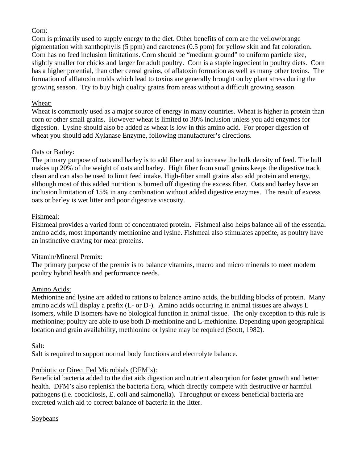#### Corn:

Corn is primarily used to supply energy to the diet. Other benefits of corn are the yellow/orange pigmentation with xanthophylls (5 ppm) and carotenes (0.5 ppm) for yellow skin and fat coloration. Corn has no feed inclusion limitations. Corn should be "medium ground" to uniform particle size, slightly smaller for chicks and larger for adult poultry. Corn is a staple ingredient in poultry diets. Corn has a higher potential, than other cereal grains, of aflatoxin formation as well as many other toxins. The formation of alflatoxin molds which lead to toxins are generally brought on by plant stress during the growing season. Try to buy high quality grains from areas without a difficult growing season.

#### Wheat:

Wheat is commonly used as a major source of energy in many countries. Wheat is higher in protein than corn or other small grains. However wheat is limited to 30% inclusion unless you add enzymes for digestion. Lysine should also be added as wheat is low in this amino acid. For proper digestion of wheat you should add Xylanase Enzyme, following manufacturer's directions.

#### Oats or Barley:

The primary purpose of oats and barley is to add fiber and to increase the bulk density of feed. The hull makes up 20% of the weight of oats and barley. High fiber from small grains keeps the digestive track clean and can also be used to limit feed intake. High-fiber small grains also add protein and energy, although most of this added nutrition is burned off digesting the excess fiber. Oats and barley have an inclusion limitation of 15% in any combination without added digestive enzymes. The result of excess oats or barley is wet litter and poor digestive viscosity.

#### Fishmeal:

Fishmeal provides a varied form of concentrated protein. Fishmeal also helps balance all of the essential amino acids, most importantly methionine and lysine. Fishmeal also stimulates appetite, as poultry have an instinctive craving for meat proteins.

#### Vitamin/Mineral Premix:

The primary purpose of the premix is to balance vitamins, macro and micro minerals to meet modern poultry hybrid health and performance needs.

#### Amino Acids:

Methionine and lysine are added to rations to balance amino acids, the building blocks of protein. Many amino acids will display a prefix (L- or D-). Amino acids occurring in animal tissues are always L isomers, while D isomers have no biological function in animal tissue. The only exception to this rule is methionine; poultry are able to use both D-methionine and L-methionine. Depending upon geographical location and grain availability, methionine or lysine may be required (Scott, 1982).

#### Salt:

Salt is required to support normal body functions and electrolyte balance.

#### Probiotic or Direct Fed Microbials (DFM's):

Beneficial bacteria added to the diet aids digestion and nutrient absorption for faster growth and better health. DFM's also replenish the bacteria flora, which directly compete with destructive or harmful pathogens (i.e. coccidiosis, E. coli and salmonella). Throughput or excess beneficial bacteria are excreted which aid to correct balance of bacteria in the litter.

#### Soybeans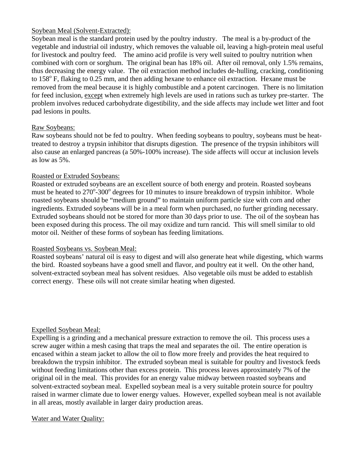#### Soybean Meal (Solvent-Extracted):

Soybean meal is the standard protein used by the poultry industry. The meal is a by-product of the vegetable and industrial oil industry, which removes the valuable oil, leaving a high-protein meal useful for livestock and poultry feed. The amino acid profile is very well suited to poultry nutrition when combined with corn or sorghum. The original bean has 18% oil. After oil removal, only 1.5% remains, thus decreasing the energy value. The oil extraction method includes de-hulling, cracking, conditioning to 158° F, flaking to 0.25 mm, and then adding hexane to enhance oil extraction. Hexane must be removed from the meal because it is highly combustible and a potent carcinogen. There is no limitation for feed inclusion, except when extremely high levels are used in rations such as turkey pre-starter. The problem involves reduced carbohydrate digestibility, and the side affects may include wet litter and foot pad lesions in poults.

#### Raw Soybeans:

Raw soybeans should not be fed to poultry. When feeding soybeans to poultry, soybeans must be heattreated to destroy a trypsin inhibitor that disrupts digestion. The presence of the trypsin inhibitors will also cause an enlarged pancreas (a 50%-100% increase). The side affects will occur at inclusion levels as low as 5%.

#### Roasted or Extruded Soybeans:

Roasted or extruded soybeans are an excellent source of both energy and protein. Roasted soybeans must be heated to  $270^{\circ}$ -300° degrees for 10 minutes to insure breakdown of trypsin inhibitor. Whole roasted soybeans should be "medium ground" to maintain uniform particle size with corn and other ingredients. Extruded soybeans will be in a meal form when purchased, no further grinding necessary. Extruded soybeans should not be stored for more than 30 days prior to use. The oil of the soybean has been exposed during this process. The oil may oxidize and turn rancid. This will smell similar to old motor oil. Neither of these forms of soybean has feeding limitations.

#### Roasted Soybeans vs. Soybean Meal:

Roasted soybeans' natural oil is easy to digest and will also generate heat while digesting, which warms the bird. Roasted soybeans have a good smell and flavor, and poultry eat it well. On the other hand, solvent-extracted soybean meal has solvent residues. Also vegetable oils must be added to establish correct energy. These oils will not create similar heating when digested.

#### Expelled Soybean Meal:

Expelling is a grinding and a mechanical pressure extraction to remove the oil. This process uses a screw auger within a mesh casing that traps the meal and separates the oil. The entire operation is encased within a steam jacket to allow the oil to flow more freely and provides the heat required to breakdown the trypsin inhibitor. The extruded soybean meal is suitable for poultry and livestock feeds without feeding limitations other than excess protein. This process leaves approximately 7% of the original oil in the meal. This provides for an energy value midway between roasted soybeans and solvent-extracted soybean meal. Expelled soybean meal is a very suitable protein source for poultry raised in warmer climate due to lower energy values. However, expelled soybean meal is not available in all areas, mostly available in larger dairy production areas.

#### Water and Water Quality: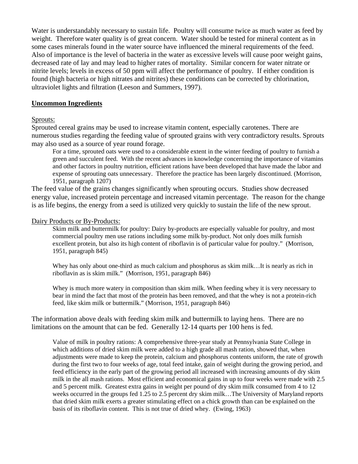Water is understandably necessary to sustain life. Poultry will consume twice as much water as feed by weight. Therefore water quality is of great concern. Water should be tested for mineral content as in some cases minerals found in the water source have influenced the mineral requirements of the feed. Also of importance is the level of bacteria in the water as excessive levels will cause poor weight gains, decreased rate of lay and may lead to higher rates of mortality. Similar concern for water nitrate or nitrite levels; levels in excess of 50 ppm will affect the performance of poultry. If either condition is found (high bacteria or high nitrates and nitrites) these conditions can be corrected by chlorination, ultraviolet lights and filtration (Leeson and Summers, 1997).

#### **Uncommon Ingredients**

#### Sprouts:

Sprouted cereal grains may be used to increase vitamin content, especially carotenes. There are numerous studies regarding the feeding value of sprouted grains with very contradictory results. Sprouts may also used as a source of year round forage.

For a time, sprouted oats were used to a considerable extent in the winter feeding of poultry to furnish a green and succulent feed. With the recent advances in knowledge concerning the importance of vitamins and other factors in poultry nutrition, efficient rations have been developed that have made the labor and expense of sprouting oats unnecessary. Therefore the practice has been largely discontinued. (Morrison, 1951, paragraph 1207)

The feed value of the grains changes significantly when sprouting occurs. Studies show decreased energy value, increased protein percentage and increased vitamin percentage. The reason for the change is as life begins, the energy from a seed is utilized very quickly to sustain the life of the new sprout.

#### Dairy Products or By-Products:

Skim milk and buttermilk for poultry: Dairy by-products are especially valuable for poultry, and most commercial poultry men use rations including some milk by-product. Not only does milk furnish excellent protein, but also its high content of riboflavin is of particular value for poultry." (Morrison, 1951, paragraph 845)

Whey has only about one-third as much calcium and phosphorus as skim milk...It is nearly as rich in riboflavin as is skim milk." (Morrison, 1951, paragraph 846)

Whey is much more watery in composition than skim milk. When feeding whey it is very necessary to bear in mind the fact that most of the protein has been removed, and that the whey is not a protein-rich feed, like skim milk or buttermilk." (Morrison, 1951, paragraph 846)

The information above deals with feeding skim milk and buttermilk to laying hens. There are no limitations on the amount that can be fed. Generally 12-14 quarts per 100 hens is fed.

Value of milk in poultry rations: A comprehensive three-year study at Pennsylvania State College in which additions of dried skim milk were added to a high grade all mash ration, showed that, when adjustments were made to keep the protein, calcium and phosphorus contents uniform, the rate of growth during the first two to four weeks of age, total feed intake, gain of weight during the growing period, and feed efficiency in the early part of the growing period all increased with increasing amounts of dry skim milk in the all mash rations. Most efficient and economical gains in up to four weeks were made with 2.5 and 5 percent milk. Greatest extra gains in weight per pound of dry skim milk consumed from 4 to 12 weeks occurred in the groups fed 1.25 to 2.5 percent dry skim milk…The University of Maryland reports that dried skim milk exerts a greater stimulating effect on a chick growth than can be explained on the basis of its riboflavin content. This is not true of dried whey. (Ewing, 1963)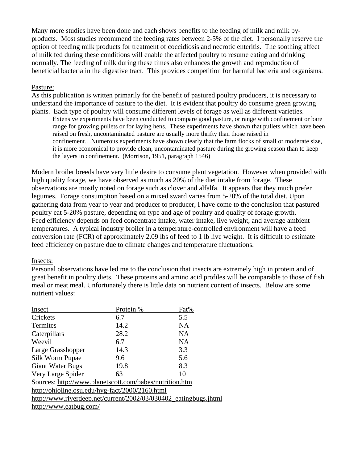Many more studies have been done and each shows benefits to the feeding of milk and milk byproducts. Most studies recommend the feeding rates between 2-5% of the diet. I personally reserve the option of feeding milk products for treatment of coccidiosis and necrotic enteritis. The soothing affect of milk fed during these conditions will enable the affected poultry to resume eating and drinking normally. The feeding of milk during these times also enhances the growth and reproduction of beneficial bacteria in the digestive tract. This provides competition for harmful bacteria and organisms.

#### Pasture:

As this publication is written primarily for the benefit of pastured poultry producers, it is necessary to understand the importance of pasture to the diet. It is evident that poultry do consume green growing plants. Each type of poultry will consume different levels of forage as well as different varieties.

Extensive experiments have been conducted to compare good pasture, or range with confinement or bare range for growing pullets or for laying hens. These experiments have shown that pullets which have been raised on fresh, uncontaminated pasture are usually more thrifty than those raised in confinement…Numerous experiments have shown clearly that the farm flocks of small or moderate size, it is more economical to provide clean, uncontaminated pasture during the growing season than to keep the layers in confinement. (Morrison, 1951, paragraph 1546)

Modern broiler breeds have very little desire to consume plant vegetation. However when provided with high quality forage, we have observed as much as 20% of the diet intake from forage. These observations are mostly noted on forage such as clover and alfalfa. It appears that they much prefer legumes. Forage consumption based on a mixed sward varies from 5-20% of the total diet. Upon gathering data from year to year and producer to producer, I have come to the conclusion that pastured poultry eat 5-20% pasture, depending on type and age of poultry and quality of forage growth. Feed efficiency depends on feed concentrate intake, water intake, live weight, and average ambient temperatures. A typical industry broiler in a temperature-controlled environment will have a feed conversion rate (FCR) of approximately 2.09 lbs of feed to 1 lb live weight. It is difficult to estimate feed efficiency on pasture due to climate changes and temperature fluctuations.

#### Insects:

Personal observations have led me to the conclusion that insects are extremely high in protein and of great benefit in poultry diets. These proteins and amino acid profiles will be comparable to those of fish meal or meat meal. Unfortunately there is little data on nutrient content of insects. Below are some nutrient values:

| Insect                                                           | Protein % | Fat% |  |  |  |  |  |
|------------------------------------------------------------------|-----------|------|--|--|--|--|--|
| Crickets                                                         | 6.7       | 5.5  |  |  |  |  |  |
| Termites                                                         | 14.2      | NA   |  |  |  |  |  |
| Caterpillars                                                     | 28.2      | NA   |  |  |  |  |  |
| Weevil                                                           | 6.7       | NA   |  |  |  |  |  |
| Large Grasshopper                                                | 14.3      | 3.3  |  |  |  |  |  |
| Silk Worm Pupae                                                  | 9.6       | 5.6  |  |  |  |  |  |
| <b>Giant Water Bugs</b>                                          | 19.8      | 8.3  |  |  |  |  |  |
| Very Large Spider                                                | 63        | 10   |  |  |  |  |  |
| Sources: http://www.planetscott.com/babes/nutrition.htm          |           |      |  |  |  |  |  |
| http://ohioline.osu.edu/hyg-fact/2000/2160.html                  |           |      |  |  |  |  |  |
| http://www.riverdeep.net/current/2002/03/030402_eatingbugs.jhtml |           |      |  |  |  |  |  |
| http://www.eatbug.com/                                           |           |      |  |  |  |  |  |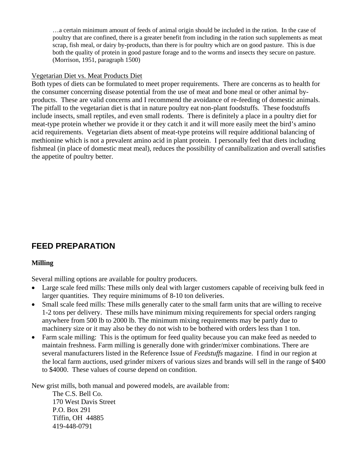…a certain minimum amount of feeds of animal origin should be included in the ration. In the case of poultry that are confined, there is a greater benefit from including in the ration such supplements as meat scrap, fish meal, or dairy by-products, than there is for poultry which are on good pasture. This is due both the quality of protein in good pasture forage and to the worms and insects they secure on pasture. (Morrison, 1951, paragraph 1500)

#### Vegetarian Diet vs. Meat Products Diet

Both types of diets can be formulated to meet proper requirements. There are concerns as to health for the consumer concerning disease potential from the use of meat and bone meal or other animal byproducts. These are valid concerns and I recommend the avoidance of re-feeding of domestic animals. The pitfall to the vegetarian diet is that in nature poultry eat non-plant foodstuffs. These foodstuffs include insects, small reptiles, and even small rodents. There is definitely a place in a poultry diet for meat-type protein whether we provide it or they catch it and it will more easily meet the bird's amino acid requirements. Vegetarian diets absent of meat-type proteins will require additional balancing of methionine which is not a prevalent amino acid in plant protein. I personally feel that diets including fishmeal (in place of domestic meat meal), reduces the possibility of cannibalization and overall satisfies the appetite of poultry better.

# **FEED PREPARATION**

#### **Milling**

Several milling options are available for poultry producers.

- Large scale feed mills: These mills only deal with larger customers capable of receiving bulk feed in larger quantities. They require minimums of 8-10 ton deliveries.
- Small scale feed mills: These mills generally cater to the small farm units that are willing to receive 1-2 tons per delivery. These mills have minimum mixing requirements for special orders ranging anywhere from 500 lb to 2000 lb. The minimum mixing requirements may be partly due to machinery size or it may also be they do not wish to be bothered with orders less than 1 ton.
- Farm scale milling: This is the optimum for feed quality because you can make feed as needed to maintain freshness. Farm milling is generally done with grinder/mixer combinations. There are several manufacturers listed in the Reference Issue of *Feedstuffs* magazine. I find in our region at the local farm auctions, used grinder mixers of various sizes and brands will sell in the range of \$400 to \$4000. These values of course depend on condition.

New grist mills, both manual and powered models, are available from:

The C.S. Bell Co. 170 West Davis Street P.O. Box 291 Tiffin, OH 44885 419-448-0791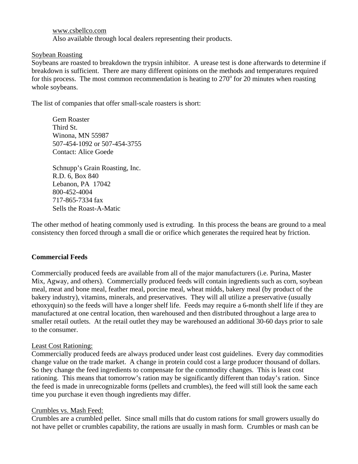[www.csbellco.com](http://www.csbellco.com/) Also available through local dealers representing their products.

#### Soybean Roasting

Soybeans are roasted to breakdown the trypsin inhibitor. A urease test is done afterwards to determine if breakdown is sufficient. There are many different opinions on the methods and temperatures required for this process. The most common recommendation is heating to  $270^{\circ}$  for 20 minutes when roasting whole soybeans.

The list of companies that offer small-scale roasters is short:

Gem Roaster Third St. Winona, MN 55987 507-454-1092 or 507-454-3755 Contact: Alice Goede

Schnupp's Grain Roasting, Inc. R.D. 6, Box 840 Lebanon, PA 17042 800-452-4004 717-865-7334 fax Sells the Roast-A-Matic

The other method of heating commonly used is extruding. In this process the beans are ground to a meal consistency then forced through a small die or orifice which generates the required heat by friction.

#### **Commercial Feeds**

Commercially produced feeds are available from all of the major manufacturers (i.e. Purina, Master Mix, Agway, and others). Commercially produced feeds will contain ingredients such as corn, soybean meal, meat and bone meal, feather meal, porcine meal, wheat midds, bakery meal (by product of the bakery industry), vitamins, minerals, and preservatives. They will all utilize a preservative (usually ethoxyquin) so the feeds will have a longer shelf life. Feeds may require a 6-month shelf life if they are manufactured at one central location, then warehoused and then distributed throughout a large area to smaller retail outlets. At the retail outlet they may be warehoused an additional 30-60 days prior to sale to the consumer.

#### Least Cost Rationing:

Commercially produced feeds are always produced under least cost guidelines. Every day commodities change value on the trade market. A change in protein could cost a large producer thousand of dollars. So they change the feed ingredients to compensate for the commodity changes. This is least cost rationing. This means that tomorrow's ration may be significantly different than today's ration. Since the feed is made in unrecognizable forms (pellets and crumbles), the feed will still look the same each time you purchase it even though ingredients may differ.

#### Crumbles vs. Mash Feed:

Crumbles are a crumbled pellet. Since small mills that do custom rations for small growers usually do not have pellet or crumbles capability, the rations are usually in mash form. Crumbles or mash can be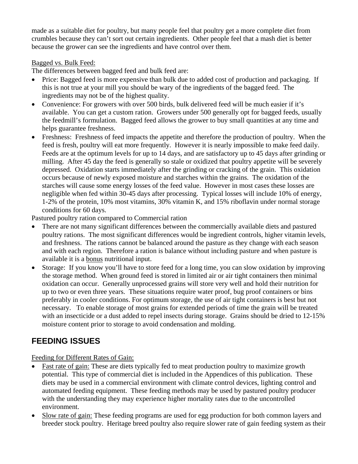made as a suitable diet for poultry, but many people feel that poultry get a more complete diet from crumbles because they can't sort out certain ingredients. Other people feel that a mash diet is better because the grower can see the ingredients and have control over them.

#### Bagged vs. Bulk Feed:

The differences between bagged feed and bulk feed are:

- Price: Bagged feed is more expensive than bulk due to added cost of production and packaging. If this is not true at your mill you should be wary of the ingredients of the bagged feed. The ingredients may not be of the highest quality.
- Convenience: For growers with over 500 birds, bulk delivered feed will be much easier if it's available. You can get a custom ration. Growers under 500 generally opt for bagged feeds, usually the feedmill's formulation. Bagged feed allows the grower to buy small quantities at any time and helps guarantee freshness.
- Freshness: Freshness of feed impacts the appetite and therefore the production of poultry. When the feed is fresh, poultry will eat more frequently. However it is nearly impossible to make feed daily. Feeds are at the optimum levels for up to 14 days, and are satisfactory up to 45 days after grinding or milling. After 45 day the feed is generally so stale or oxidized that poultry appetite will be severely depressed. Oxidation starts immediately after the grinding or cracking of the grain. This oxidation occurs because of newly exposed moisture and starches within the grains. The oxidation of the starches will cause some energy losses of the feed value. However in most cases these losses are negligible when fed within 30-45 days after processing. Typical losses will include 10% of energy, 1-2% of the protein, 10% most vitamins, 30% vitamin K, and 15% riboflavin under normal storage conditions for 60 days.

Pastured poultry ration compared to Commercial ration

- There are not many significant differences between the commercially available diets and pastured poultry rations. The most significant differences would be ingredient controls, higher vitamin levels, and freshness. The rations cannot be balanced around the pasture as they change with each season and with each region. Therefore a ration is balance without including pasture and when pasture is available it is a bonus nutritional input.
- Storage: If you know you'll have to store feed for a long time, you can slow oxidation by improving the storage method. When ground feed is stored in limited air or air tight containers then minimal oxidation can occur. Generally unprocessed grains will store very well and hold their nutrition for up to two or even three years. These situations require water proof, bug proof containers or bins preferably in cooler conditions. For optimum storage, the use of air tight containers is best but not necessary. To enable storage of most grains for extended periods of time the grain will be treated with an insecticide or a dust added to repel insects during storage. Grains should be dried to 12-15% moisture content prior to storage to avoid condensation and molding.

# **FEEDING ISSUES**

Feeding for Different Rates of Gain:

- Fast rate of gain: These are diets typically fed to meat production poultry to maximize growth potential. This type of commercial diet is included in the Appendices of this publication. These diets may be used in a commercial environment with climate control devices, lighting control and automated feeding equipment. These feeding methods may be used by pastured poultry producer with the understanding they may experience higher mortality rates due to the uncontrolled environment.
- Slow rate of gain: These feeding programs are used for egg production for both common layers and breeder stock poultry. Heritage breed poultry also require slower rate of gain feeding system as their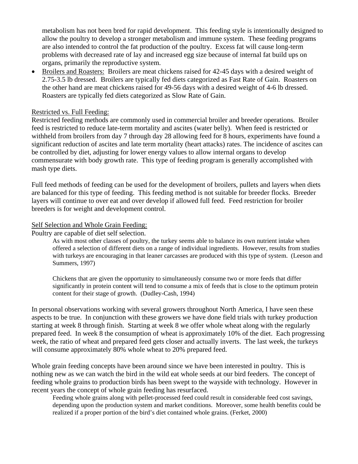metabolism has not been bred for rapid development. This feeding style is intentionally designed to allow the poultry to develop a stronger metabolism and immune system. These feeding programs are also intended to control the fat production of the poultry. Excess fat will cause long-term problems with decreased rate of lay and increased egg size because of internal fat build ups on organs, primarily the reproductive system.

• Broilers and Roasters: Broilers are meat chickens raised for 42-45 days with a desired weight of 2.75-3.5 lb dressed. Broilers are typically fed diets categorized as Fast Rate of Gain. Roasters on the other hand are meat chickens raised for 49-56 days with a desired weight of 4-6 lb dressed. Roasters are typically fed diets categorized as Slow Rate of Gain.

#### Restricted vs. Full Feeding:

Restricted feeding methods are commonly used in commercial broiler and breeder operations. Broiler feed is restricted to reduce late-term mortality and ascites (water belly). When feed is restricted or withheld from broilers from day 7 through day 28 allowing feed for 8 hours, experiments have found a significant reduction of ascites and late term mortality (heart attacks) rates. The incidence of ascites can be controlled by diet, adjusting for lower energy values to allow internal organs to develop commensurate with body growth rate. This type of feeding program is generally accomplished with mash type diets.

Full feed methods of feeding can be used for the development of broilers, pullets and layers when diets are balanced for this type of feeding. This feeding method is not suitable for breeder flocks. Breeder layers will continue to over eat and over develop if allowed full feed. Feed restriction for broiler breeders is for weight and development control.

#### Self Selection and Whole Grain Feeding:

Poultry are capable of diet self selection.

As with most other classes of poultry, the turkey seems able to balance its own nutrient intake when offered a selection of different diets on a range of individual ingredients. However, results from studies with turkeys are encouraging in that leaner carcasses are produced with this type of system. (Leeson and Summers, 1997)

Chickens that are given the opportunity to simultaneously consume two or more feeds that differ significantly in protein content will tend to consume a mix of feeds that is close to the optimum protein content for their stage of growth. (Dudley-Cash, 1994)

In personal observations working with several growers throughout North America, I have seen these aspects to be true. In conjunction with these growers we have done field trials with turkey production starting at week 8 through finish. Starting at week 8 we offer whole wheat along with the regularly prepared feed. In week 8 the consumption of wheat is approximately 10% of the diet. Each progressing week, the ratio of wheat and prepared feed gets closer and actually inverts. The last week, the turkeys will consume approximately 80% whole wheat to 20% prepared feed.

Whole grain feeding concepts have been around since we have been interested in poultry. This is nothing new as we can watch the bird in the wild eat whole seeds at our bird feeders. The concept of feeding whole grains to production birds has been swept to the wayside with technology. However in recent years the concept of whole grain feeding has resurfaced.

Feeding whole grains along with pellet-processed feed could result in considerable feed cost savings, depending upon the production system and market conditions. Moreover, some health benefits could be realized if a proper portion of the bird's diet contained whole grains. (Ferket, 2000)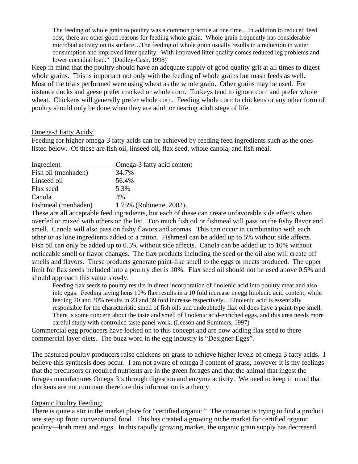The feeding of whole grain to poultry was a common practice at one time…In addition to reduced feed cost, there are other good reasons for feeding whole grain. Whole grain frequently has considerable microbial activity on its surface…The feeding of whole grain usually results in a reduction in water consumption and improved litter quality. With improved litter quality comes reduced leg problems and lower coccidial load." (Dudley-Cash, 1998)

Keep in mind that the poultry should have an adequate supply of good quality grit at all times to digest whole grains. This is important not only with the feeding of whole grains but mash feeds as well. Most of the trials performed were using wheat as the whole grain. Other grains may be used. For instance ducks and geese prefer cracked or whole corn. Turkeys tend to ignore corn and prefer whole wheat. Chickens will generally prefer whole corn. Feeding whole corn to chickens or any other form of poultry should only be done when they are adult or nearing adult stage of life.

#### Omega-3 Fatty Acids:

Feeding for higher omega-3 fatty acids can be achieved by feeding feed ingredients such as the ones listed below. Of these are fish oil, linseed oil, flax seed, whole canola, and fish meal.

| Ingredient          | Omega-3 fatty acid content |
|---------------------|----------------------------|
| Fish oil (menhaden) | 34.7%                      |
| Linseed oil         | 56.4%                      |
| Flax seed           | 5.3%                       |
| Canola              | 4%                         |
| Fishmeal (menhaden) | 1.75% (Robinette, 2002).   |

These are all acceptable feed ingredients, but each of these can create unfavorable side effects when overfed or mixed with others on the list. Too much fish oil or fishmeal will pass on the fishy flavor and smell. Canola will also pass on fishy flavors and aromas. This can occur in combination with each other or as lone ingredients added to a ration. Fishmeal can be added up to 5% without side affects. Fish oil can only be added up to 0.5% without side affects. Canola can be added up to 10% without noticeable smell or flavor changes. The flax products including the seed or the oil also will create off smells and flavors. These products generate paint-like smell to the eggs or meats produced. The upper limit for flax seeds included into a poultry diet is 10%. Flax seed oil should not be used above 0.5% and should approach this value slowly.

Feeding flax seeds to poultry results in direct incorporation of linolenic acid into poultry meat and also into eggs. Feeding laying hens 10% flax results in a 10 fold increase in egg linolenic acid content, while feeding 20 and 30% results in 23 and 39 fold increase respectively…Linolenic acid is essentially responsible for the characteristic smell of fish oils and undoubtedly flax oil does have a paint-type smell. There is some concern about the taste and smell of linolenic acid-enriched eggs, and this area needs more careful study with controlled taste panel work. (Leeson and Summers, 1997)

Commercial egg producers have locked on to this concept and are now adding flax seed to there commercial layer diets. The buzz word in the egg industry is "Designer Eggs".

The pastured poultry producers raise chickens on grass to achieve higher levels of omega 3 fatty acids. I believe this synthesis does occur. I am not aware of omega 3 content of grass, however it is my feelings that the precursors or required nutrients are in the green forages and that the animal that ingest the forages manufactures Omega 3's through digestion and enzyme activity. We need to keep in mind that chickens are not ruminant therefore this information is a theory.

#### Organic Poultry Feeding:

There is quite a stir in the market place for "certified organic." The consumer is trying to find a product one step up from conventional food. This has created a growing niche market for certified organic poultry—both meat and eggs. In this rapidly growing market, the organic grain supply has decreased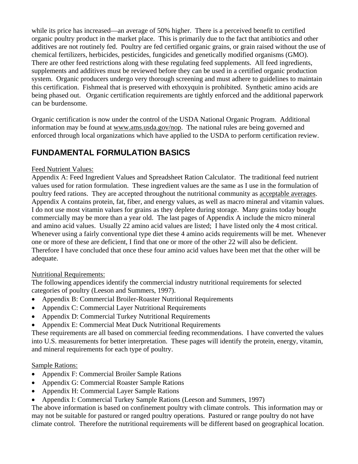while its price has increased—an average of 50% higher. There is a perceived benefit to certified organic poultry product in the market place. This is primarily due to the fact that antibiotics and other additives are not routinely fed. Poultry are fed certified organic grains, or grain raised without the use of chemical fertilizers, herbicides, pesticides, fungicides and genetically modified organisms (GMO). There are other feed restrictions along with these regulating feed supplements. All feed ingredients, supplements and additives must be reviewed before they can be used in a certified organic production system. Organic producers undergo very thorough screening and must adhere to guidelines to maintain this certification. Fishmeal that is preserved with ethoxyquin is prohibited. Synthetic amino acids are being phased out. Organic certification requirements are tightly enforced and the additional paperwork can be burdensome.

Organic certification is now under the control of the USDA National Organic Program. Additional information may be found at [www.ams.usda.gov/nop.](http://www.ams.usda.gov/nop) The national rules are being governed and enforced through local organizations which have applied to the USDA to perform certification review.

# **FUNDAMENTAL FORMULATION BASICS**

#### Feed Nutrient Values:

Appendix A: Feed Ingredient Values and Spreadsheet Ration Calculator. The traditional feed nutrient values used for ration formulation. These ingredient values are the same as I use in the formulation of poultry feed rations. They are accepted throughout the nutritional community as acceptable averages. Appendix A contains protein, fat, fiber, and energy values, as well as macro mineral and vitamin values. I do not use most vitamin values for grains as they deplete during storage. Many grains today bought commercially may be more than a year old. The last pages of Appendix A include the micro mineral and amino acid values. Usually 22 amino acid values are listed; I have listed only the 4 most critical. Whenever using a fairly conventional type diet these 4 amino acids requirements will be met. Whenever one or more of these are deficient, I find that one or more of the other 22 will also be deficient. Therefore I have concluded that once these four amino acid values have been met that the other will be adequate.

## Nutritional Requirements:

The following appendices identify the commercial industry nutritional requirements for selected categories of poultry (Leeson and Summers, 1997).

- Appendix B: Commercial Broiler-Roaster Nutritional Requirements
- Appendix C: Commercial Layer Nutritional Requirements
- Appendix D: Commercial Turkey Nutritional Requirements
- Appendix E: Commercial Meat Duck Nutritional Requirements

These requirements are all based on commercial feeding recommendations. I have converted the values into U.S. measurements for better interpretation. These pages will identify the protein, energy, vitamin, and mineral requirements for each type of poultry.

## Sample Rations:

- Appendix F: Commercial Broiler Sample Rations
- Appendix G: Commercial Roaster Sample Rations
- Appendix H: Commercial Layer Sample Rations
- Appendix I: Commercial Turkey Sample Rations (Leeson and Summers, 1997)

The above information is based on confinement poultry with climate controls. This information may or may not be suitable for pastured or ranged poultry operations. Pastured or range poultry do not have climate control. Therefore the nutritional requirements will be different based on geographical location.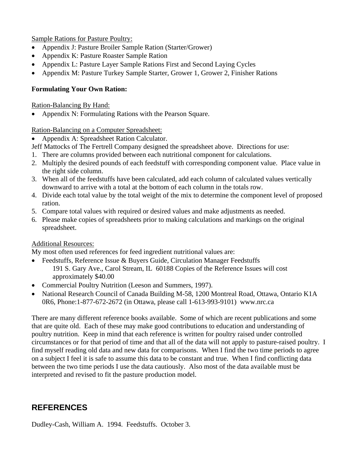Sample Rations for Pasture Poultry:

- Appendix J: Pasture Broiler Sample Ration (Starter/Grower)
- Appendix K: Pasture Roaster Sample Ration
- Appendix L: Pasture Layer Sample Rations First and Second Laying Cycles
- Appendix M: Pasture Turkey Sample Starter, Grower 1, Grower 2, Finisher Rations

#### **Formulating Your Own Ration:**

Ration-Balancing By Hand:

• Appendix N: Formulating Rations with the Pearson Square.

#### Ration-Balancing on a Computer Spreadsheet:

• Appendix A: Spreadsheet Ration Calculator.

Jeff Mattocks of The Fertrell Company designed the spreadsheet above. Directions for use:

- 1. There are columns provided between each nutritional component for calculations.
- 2. Multiply the desired pounds of each feedstuff with corresponding component value. Place value in the right side column.
- 3. When all of the feedstuffs have been calculated, add each column of calculated values vertically downward to arrive with a total at the bottom of each column in the totals row.
- 4. Divide each total value by the total weight of the mix to determine the component level of proposed ration.
- 5. Compare total values with required or desired values and make adjustments as needed.
- 6. Please make copies of spreadsheets prior to making calculations and markings on the original spreadsheet.

#### Additional Resources:

My most often used references for feed ingredient nutritional values are:

- Feedstuffs, Reference Issue & Buyers Guide, Circulation Manager Feedstuffs 191 S. Gary Ave., Carol Stream, IL 60188 Copies of the Reference Issues will cost approximately \$40.00
- Commercial Poultry Nutrition (Leeson and Summers, 1997).
- National Research Council of Canada Building M-58, 1200 Montreal Road, Ottawa, Ontario K1A 0R6, Phone:1-877-672-2672 (in Ottawa, please call 1-613-993-9101) www.nrc.ca

There are many different reference books available. Some of which are recent publications and some that are quite old. Each of these may make good contributions to education and understanding of poultry nutrition. Keep in mind that each reference is written for poultry raised under controlled circumstances or for that period of time and that all of the data will not apply to pasture-raised poultry. I find myself reading old data and new data for comparisons. When I find the two time periods to agree on a subject I feel it is safe to assume this data to be constant and true. When I find conflicting data between the two time periods I use the data cautiously. Also most of the data available must be interpreted and revised to fit the pasture production model.

## **REFERENCES**

Dudley-Cash, William A. 1994. Feedstuffs. October 3.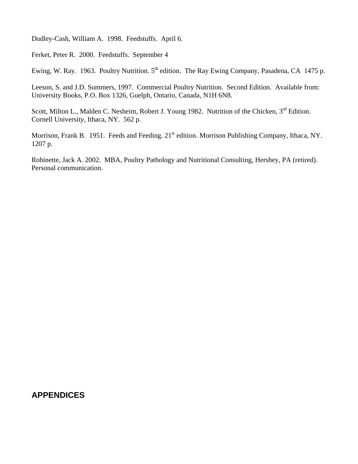Dudley-Cash, William A. 1998. Feedstuffs. April 6.

Ferket, Peter R. 2000. Feedstuffs. September 4

Ewing, W. Ray. 1963. Poultry Nutrition. 5<sup>th</sup> edition. The Ray Ewing Company, Pasadena, CA 1475 p.

Leeson, S. and J.D. Summers, 1997. Commercial Poultry Nutrition. Second Edition. Available from: University Books, P.O. Box 1326, Guelph, Ontario, Canada, N1H 6N8.

Scott, Milton L., Malden C. Nesheim, Robert J. Young 1982. Nutrition of the Chicken, 3<sup>rd</sup> Edition. Cornell University, Ithaca, NY. 562 p.

Morrison, Frank B. 1951. Feeds and Feeding. 21<sup>st</sup> edition. Morrison Publishing Company, Ithaca, NY. 1207 p.

Robinette, Jack A. 2002. MBA, Poultry Pathology and Nutritional Consulting, Hershey, PA (retired). Personal communication.

#### **APPENDICES**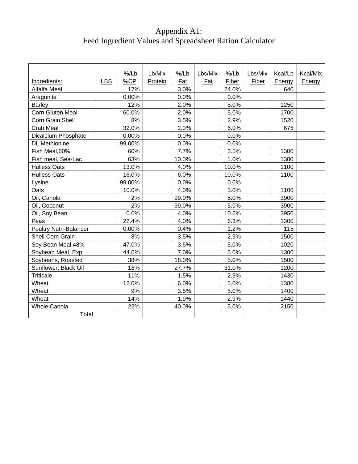# Appendix A1: Feed Ingredient Values and Spreadsheet Ration Calculator

|                               |            | %/Lb   | Lb/Mix  | %/Lb  | Lbs/Mix | %/Lb  | Lbs/Mix | Kcal/Lb | Kcal/Mix |
|-------------------------------|------------|--------|---------|-------|---------|-------|---------|---------|----------|
| Ingredients:                  | <b>LBS</b> | %CP    | Protein | Fat   | Fat     | Fiber | Fiber   | Energy  | Energy   |
| Alfalfa Meal                  |            | 17%    |         | 3.0%  |         | 24.0% |         | 640     |          |
| Aragonite                     |            | 0.00%  |         | 0.0%  |         | 0.0%  |         |         |          |
| <b>Barley</b>                 |            | 12%    |         | 2.0%  |         | 5.0%  |         | 1250    |          |
| Corn Gluten Meal              |            | 60.0%  |         | 2.0%  |         | 5.0%  |         | 1700    |          |
| Corn Grain Shell              |            | 8%     |         | 3.5%  |         | 2.9%  |         | 1520    |          |
| Crab Meal                     |            | 32.0%  |         | 2.0%  |         | 6.0%  |         | 675     |          |
| Dicalcium Phosphate           |            | 0.00%  |         | 0.0%  |         | 0.0%  |         |         |          |
| <b>DL</b> Methionine          |            | 99.00% |         | 0.0%  |         | 0.0%  |         |         |          |
| Fish Meal, 60%                |            | 60%    |         | 7.7%  |         | 3.5%  |         | 1300    |          |
| Fish meal, Sea-Lac            |            | 63%    |         | 10.0% |         | 1.0%  |         | 1300    |          |
| <b>Hulless Oats</b>           |            | 13.0%  |         | 4.0%  |         | 10.0% |         | 1100    |          |
| <b>Hulless Oats</b>           |            | 16.0%  |         | 6.0%  |         | 10.0% |         | 1100    |          |
| Lysine                        |            | 99.00% |         | 0.0%  |         | 0.0%  |         |         |          |
| Oats                          |            | 10.0%  |         | 4.0%  |         | 3.0%  |         | 1100    |          |
| Oil, Canola                   |            | 2%     |         | 99.0% |         | 5.0%  |         | 3900    |          |
| Oil, Coconut                  |            | 2%     |         | 99.0% |         | 5.0%  |         | 3900    |          |
| Oil, Soy Bean                 |            | 0.0%   |         | 4.0%  |         | 10.5% |         | 3950    |          |
| Peas                          |            | 22.4%  |         | 4.0%  |         | 6.3%  |         | 1300    |          |
| <b>Poultry Nutri-Balancer</b> |            | 0.00%  |         | 0.4%  |         | 1.2%  |         | 115     |          |
| Shell Corn Grain              |            | 8%     |         | 3.5%  |         | 2.9%  |         | 1500    |          |
| Soy Bean Meal, 48%            |            | 47.0%  |         | 3.5%  |         | 5.0%  |         | 1020    |          |
| Soybean Meal, Exp.            |            | 44.0%  |         | 7.0%  |         | 5.0%  |         | 1300    |          |
| Soybeans, Roasted             |            | 38%    |         | 18.0% |         | 5.0%  |         | 1500    |          |
| Sunflower, Black Oil          |            | 18%    |         | 27.7% |         | 31.0% |         | 1200    |          |
| <b>Triticale</b>              |            | 11%    |         | 1.5%  |         | 2.9%  |         | 1430    |          |
| Wheat                         |            | 12.0%  |         | 6.0%  |         | 5.0%  |         | 1380    |          |
| Wheat                         |            | 9%     |         | 3.5%  |         | 5.0%  |         | 1400    |          |
| Wheat                         |            | 14%    |         | 1.9%  |         | 2.9%  |         | 1440    |          |
| <b>Whole Canola</b>           |            | 22%    |         | 40.0% |         | 5.0%  |         | 2150    |          |
| Total                         |            |        |         |       |         |       |         |         |          |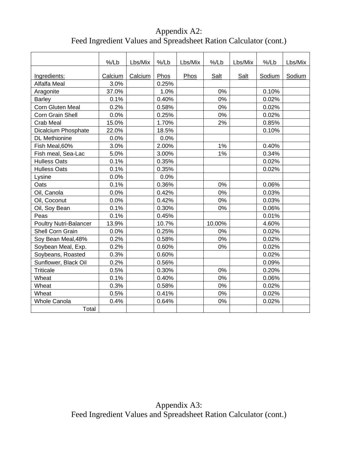# Appendix A2: Feed Ingredient Values and Spreadsheet Ration Calculator (cont.)

|                               | $%$ /Lb | Lbs/Mix | %/Lb  | Lbs/Mix | %/Lb   | Lbs/Mix | %/Lb   | Lbs/Mix |
|-------------------------------|---------|---------|-------|---------|--------|---------|--------|---------|
|                               |         |         |       |         |        |         |        |         |
| Ingredients:                  | Calcium | Calcium | Phos  | Phos    | Salt   | Salt    | Sodium | Sodium  |
| Alfalfa Meal                  | 3.0%    |         | 0.25% |         |        |         |        |         |
| Aragonite                     | 37.0%   |         | 1.0%  |         | 0%     |         | 0.10%  |         |
| <b>Barley</b>                 | 0.1%    |         | 0.40% |         | 0%     |         | 0.02%  |         |
| Corn Gluten Meal              | 0.2%    |         | 0.58% |         | 0%     |         | 0.02%  |         |
| Corn Grain Shell              | 0.0%    |         | 0.25% |         | 0%     |         | 0.02%  |         |
| Crab Meal                     | 15.0%   |         | 1.70% |         | 2%     |         | 0.85%  |         |
| Dicalcium Phosphate           | 22.0%   |         | 18.5% |         |        |         | 0.10%  |         |
| <b>DL</b> Methionine          | 0.0%    |         | 0.0%  |         |        |         |        |         |
| Fish Meal, 60%                | 3.0%    |         | 2.00% |         | 1%     |         | 0.40%  |         |
| Fish meal, Sea-Lac            | 5.0%    |         | 3.00% |         | 1%     |         | 0.34%  |         |
| <b>Hulless Oats</b>           | 0.1%    |         | 0.35% |         |        |         | 0.02%  |         |
| <b>Hulless Oats</b>           | 0.1%    |         | 0.35% |         |        |         | 0.02%  |         |
| Lysine                        | 0.0%    |         | 0.0%  |         |        |         |        |         |
| Oats                          | 0.1%    |         | 0.36% |         | 0%     |         | 0.06%  |         |
| Oil, Canola                   | 0.0%    |         | 0.42% |         | 0%     |         | 0.03%  |         |
| Oil, Coconut                  | 0.0%    |         | 0.42% |         | 0%     |         | 0.03%  |         |
| Oil, Soy Bean                 | 0.1%    |         | 0.30% |         | 0%     |         | 0.06%  |         |
| Peas                          | 0.1%    |         | 0.45% |         |        |         | 0.01%  |         |
| <b>Poultry Nutri-Balancer</b> | 13.9%   |         | 10.7% |         | 10.00% |         | 4.60%  |         |
| Shell Corn Grain              | 0.0%    |         | 0.25% |         | 0%     |         | 0.02%  |         |
| Soy Bean Meal, 48%            | 0.2%    |         | 0.58% |         | 0%     |         | 0.02%  |         |
| Soybean Meal, Exp.            | 0.2%    |         | 0.60% |         | 0%     |         | 0.02%  |         |
| Soybeans, Roasted             | 0.3%    |         | 0.60% |         |        |         | 0.02%  |         |
| Sunflower, Black Oil          | 0.2%    |         | 0.56% |         |        |         | 0.09%  |         |
| <b>Triticale</b>              | 0.5%    |         | 0.30% |         | 0%     |         | 0.20%  |         |
| Wheat                         | 0.1%    |         | 0.40% |         | 0%     |         | 0.06%  |         |
| Wheat                         | 0.3%    |         | 0.58% |         | 0%     |         | 0.02%  |         |
| Wheat                         | 0.5%    |         | 0.41% |         | 0%     |         | 0.02%  |         |
| <b>Whole Canola</b>           | 0.4%    |         | 0.64% |         | 0%     |         | 0.02%  |         |
| Total                         |         |         |       |         |        |         |        |         |

Appendix A3: Feed Ingredient Values and Spreadsheet Ration Calculator (cont.)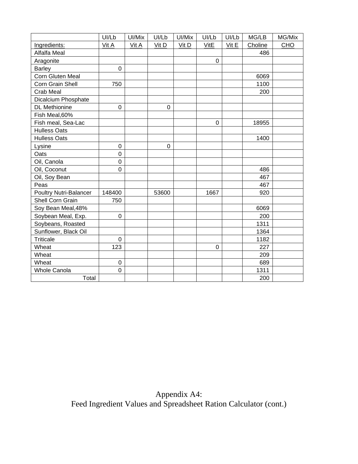|                        | UI/Lb            | UI/Mix | UI/Lb       | Ul/Mix | UI/Lb       | UI/Lb | MG/LB   | MG/Mix |
|------------------------|------------------|--------|-------------|--------|-------------|-------|---------|--------|
| Ingredients:           | Vit A            | Vit A  | Vit D       | Vit D  | VitE        | Vit E | Choline | CHO    |
| Alfalfa Meal           |                  |        |             |        |             |       | 486     |        |
| Aragonite              |                  |        |             |        | $\pmb{0}$   |       |         |        |
| <b>Barley</b>          | $\mathbf 0$      |        |             |        |             |       |         |        |
| Corn Gluten Meal       |                  |        |             |        |             |       | 6069    |        |
| Corn Grain Shell       | 750              |        |             |        |             |       | 1100    |        |
| Crab Meal              |                  |        |             |        |             |       | 200     |        |
| Dicalcium Phosphate    |                  |        |             |        |             |       |         |        |
| <b>DL</b> Methionine   | $\mathsf 0$      |        | $\mathbf 0$ |        |             |       |         |        |
| Fish Meal, 60%         |                  |        |             |        |             |       |         |        |
| Fish meal, Sea-Lac     |                  |        |             |        | $\mathbf 0$ |       | 18955   |        |
| <b>Hulless Oats</b>    |                  |        |             |        |             |       |         |        |
| <b>Hulless Oats</b>    |                  |        |             |        |             |       | 1400    |        |
| Lysine                 | $\boldsymbol{0}$ |        | $\pmb{0}$   |        |             |       |         |        |
| Oats                   | 0                |        |             |        |             |       |         |        |
| Oil, Canola            | 0                |        |             |        |             |       |         |        |
| Oil, Coconut           | 0                |        |             |        |             |       | 486     |        |
| Oil, Soy Bean          |                  |        |             |        |             |       | 467     |        |
| Peas                   |                  |        |             |        |             |       | 467     |        |
| Poultry Nutri-Balancer | 148400           |        | 53600       |        | 1667        |       | 920     |        |
| Shell Corn Grain       | 750              |        |             |        |             |       |         |        |
| Soy Bean Meal, 48%     |                  |        |             |        |             |       | 6069    |        |
| Soybean Meal, Exp.     | $\pmb{0}$        |        |             |        |             |       | 200     |        |
| Soybeans, Roasted      |                  |        |             |        |             |       | 1311    |        |
| Sunflower, Black Oil   |                  |        |             |        |             |       | 1364    |        |
| <b>Triticale</b>       | $\mathbf 0$      |        |             |        |             |       | 1182    |        |
| Wheat                  | 123              |        |             |        | 0           |       | 227     |        |
| Wheat                  |                  |        |             |        |             |       | 209     |        |
| Wheat                  | $\mathbf 0$      |        |             |        |             |       | 689     |        |
| <b>Whole Canola</b>    | $\mathbf 0$      |        |             |        |             |       | 1311    |        |
| Total                  |                  |        |             |        |             |       | 200     |        |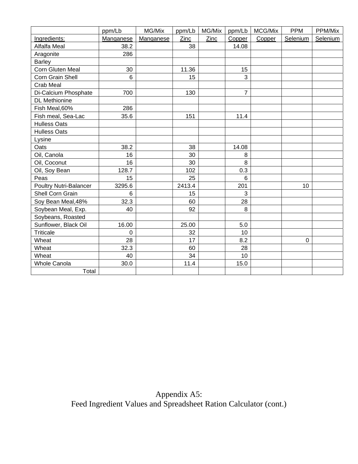|                               | ppm/Lb         | MG/Mix    | ppm/Lb | MG/Mix | ppm/Lb         | MCG/Mix | <b>PPM</b> | PPM/Mix  |
|-------------------------------|----------------|-----------|--------|--------|----------------|---------|------------|----------|
| Ingredients:                  | Manganese      | Manganese | Zinc   | Zinc   | Copper         | Copper  | Selenium   | Selenium |
| Alfalfa Meal                  | 38.2           |           | 38     |        | 14.08          |         |            |          |
| Aragonite                     | 286            |           |        |        |                |         |            |          |
| <b>Barley</b>                 |                |           |        |        |                |         |            |          |
| Corn Gluten Meal              | 30             |           | 11.36  |        | 15             |         |            |          |
| Corn Grain Shell              | $6\phantom{1}$ |           | 15     |        | 3              |         |            |          |
| Crab Meal                     |                |           |        |        |                |         |            |          |
| Di-Calcium Phosphate          | 700            |           | 130    |        | $\overline{7}$ |         |            |          |
| <b>DL</b> Methionine          |                |           |        |        |                |         |            |          |
| Fish Meal, 60%                | 286            |           |        |        |                |         |            |          |
| Fish meal, Sea-Lac            | 35.6           |           | 151    |        | 11.4           |         |            |          |
| <b>Hulless Oats</b>           |                |           |        |        |                |         |            |          |
| <b>Hulless Oats</b>           |                |           |        |        |                |         |            |          |
| Lysine                        |                |           |        |        |                |         |            |          |
| Oats                          | 38.2           |           | 38     |        | 14.08          |         |            |          |
| Oil, Canola                   | 16             |           | 30     |        | 8              |         |            |          |
| Oil, Coconut                  | 16             |           | 30     |        | 8              |         |            |          |
| Oil, Soy Bean                 | 128.7          |           | 102    |        | 0.3            |         |            |          |
| Peas                          | 15             |           | 25     |        | 6              |         |            |          |
| <b>Poultry Nutri-Balancer</b> | 3295.6         |           | 2413.4 |        | 201            |         | 10         |          |
| Shell Corn Grain              | 6              |           | 15     |        | 3              |         |            |          |
| Soy Bean Meal, 48%            | 32.3           |           | 60     |        | 28             |         |            |          |
| Soybean Meal, Exp.            | 40             |           | 92     |        | 8              |         |            |          |
| Soybeans, Roasted             |                |           |        |        |                |         |            |          |
| Sunflower, Black Oil          | 16.00          |           | 25.00  |        | 5.0            |         |            |          |
| <b>Triticale</b>              | $\mathbf 0$    |           | 32     |        | 10             |         |            |          |
| Wheat                         | 28             |           | 17     |        | 8.2            |         | $\pmb{0}$  |          |
| Wheat                         | 32.3           |           | 60     |        | 28             |         |            |          |
| Wheat                         | 40             |           | 34     |        | 10             |         |            |          |
| <b>Whole Canola</b>           | 30.0           |           | 11.4   |        | 15.0           |         |            |          |
| Total                         |                |           |        |        |                |         |            |          |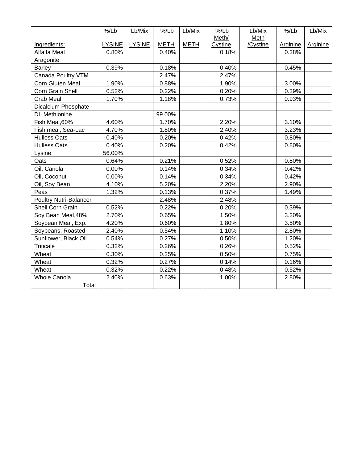|                               | %/Lb          | Lb/Mix        | %/Lb        | Lb/Mix      | %/Lb    | Lb/Mix   | $%$ /Lb         | Lb/Mix   |
|-------------------------------|---------------|---------------|-------------|-------------|---------|----------|-----------------|----------|
|                               |               |               |             |             | Meth/   | Meth     |                 |          |
| Ingredients:                  | <b>LYSINE</b> | <b>LYSINE</b> | <b>METH</b> | <b>METH</b> | Cystine | /Cystine | <b>Arginine</b> | Arginine |
| Alfalfa Meal                  | 0.80%         |               | 0.40%       |             | 0.18%   |          | 0.38%           |          |
| Aragonite                     |               |               |             |             |         |          |                 |          |
| <b>Barley</b>                 | 0.39%         |               | 0.18%       |             | 0.40%   |          | 0.45%           |          |
| Canada Poultry VTM            |               |               | 2.47%       |             | 2.47%   |          |                 |          |
| Corn Gluten Meal              | 1.90%         |               | 0.88%       |             | 1.90%   |          | 3.00%           |          |
| Corn Grain Shell              | 0.52%         |               | 0.22%       |             | 0.20%   |          | 0.39%           |          |
| Crab Meal                     | 1.70%         |               | 1.18%       |             | 0.73%   |          | 0.93%           |          |
| Dicalcium Phosphate           |               |               |             |             |         |          |                 |          |
| <b>DL</b> Methionine          |               |               | 99.00%      |             |         |          |                 |          |
| Fish Meal, 60%                | 4.60%         |               | 1.70%       |             | 2.20%   |          | 3.10%           |          |
| Fish meal, Sea-Lac            | 4.70%         |               | 1.80%       |             | 2.40%   |          | 3.23%           |          |
| <b>Hulless Oats</b>           | 0.40%         |               | 0.20%       |             | 0.42%   |          | 0.80%           |          |
| <b>Hulless Oats</b>           | 0.40%         |               | 0.20%       |             | 0.42%   |          | 0.80%           |          |
| Lysine                        | 56.00%        |               |             |             |         |          |                 |          |
| Oats                          | 0.64%         |               | 0.21%       |             | 0.52%   |          | 0.80%           |          |
| Oil, Canola                   | 0.00%         |               | 0.14%       |             | 0.34%   |          | 0.42%           |          |
| Oil, Coconut                  | 0.00%         |               | 0.14%       |             | 0.34%   |          | 0.42%           |          |
| Oil, Soy Bean                 | 4.10%         |               | 5.20%       |             | 2.20%   |          | 2.90%           |          |
| Peas                          | 1.32%         |               | 0.13%       |             | 0.37%   |          | 1.49%           |          |
| <b>Poultry Nutri-Balancer</b> |               |               | 2.48%       |             | 2.48%   |          |                 |          |
| Shell Corn Grain              | 0.52%         |               | 0.22%       |             | 0.20%   |          | 0.39%           |          |
| Soy Bean Meal, 48%            | 2.70%         |               | 0.65%       |             | 1.50%   |          | 3.20%           |          |
| Soybean Meal, Exp.            | 4.20%         |               | 0.60%       |             | 1.80%   |          | 3.50%           |          |
| Soybeans, Roasted             | 2.40%         |               | 0.54%       |             | 1.10%   |          | 2.80%           |          |
| Sunflower, Black Oil          | 0.54%         |               | 0.27%       |             | 0.50%   |          | 1.20%           |          |
| <b>Triticale</b>              | 0.32%         |               | 0.26%       |             | 0.26%   |          | 0.52%           |          |
| Wheat                         | 0.30%         |               | 0.25%       |             | 0.50%   |          | 0.75%           |          |
| Wheat                         | 0.32%         |               | 0.27%       |             | 0.14%   |          | 0.16%           |          |
| Wheat                         | 0.32%         |               | 0.22%       |             | 0.48%   |          | 0.52%           |          |
| <b>Whole Canola</b>           | 2.40%         |               | 0.63%       |             | 1.00%   |          | 2.80%           |          |
| Total                         |               |               |             |             |         |          |                 |          |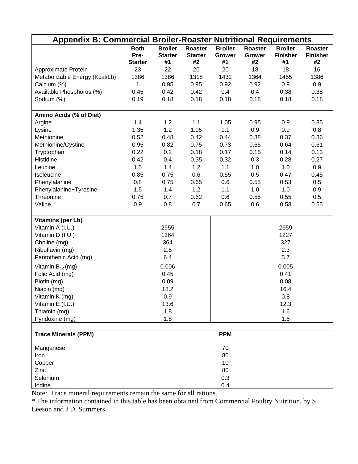|                                | <b>Appendix B: Commercial Broiler-Roaster Nutritional Requirements</b> |                                        |                                 |                                       |                                       |                                         |                                  |  |
|--------------------------------|------------------------------------------------------------------------|----------------------------------------|---------------------------------|---------------------------------------|---------------------------------------|-----------------------------------------|----------------------------------|--|
|                                | <b>Both</b><br>Pre-<br><b>Starter</b>                                  | <b>Broiler</b><br><b>Starter</b><br>#1 | Roaster<br><b>Starter</b><br>#2 | <b>Broiler</b><br><b>Grower</b><br>#1 | <b>Roaster</b><br><b>Grower</b><br>#2 | <b>Broiler</b><br><b>Finisher</b><br>#1 | Roaster<br><b>Finisher</b><br>#2 |  |
| Approximate Protein            | 23                                                                     | 22                                     | 20                              | 20                                    | 18                                    | 18                                      | 16                               |  |
| Metabolizable Energy (Kcal/Lb) | 1386                                                                   | 1386                                   | 1318                            | 1432                                  | 1364                                  | 1455                                    | 1386                             |  |
| Calcium (%)                    | 1                                                                      | 0.95                                   | 0.95                            | 0.92                                  | 0.92                                  | 0.9                                     | 0.9                              |  |
| Available Phosphorus (%)       | 0.45                                                                   | 0.42                                   | 0.42                            | 0.4                                   | 0.4                                   | 0.38                                    | 0.38                             |  |
| Sodium (%)                     | 0.19                                                                   | 0.18                                   | 0.18                            | 0.18                                  | 0.18                                  | 0.18                                    | 0.18                             |  |
|                                |                                                                        |                                        |                                 |                                       |                                       |                                         |                                  |  |
| Amino Acids (% of Diet)        |                                                                        |                                        |                                 |                                       |                                       |                                         |                                  |  |
| Argine                         | 1.4                                                                    | 1.2                                    | 1.1                             | 1.05                                  | 0.95                                  | 0.9                                     | 0.85                             |  |
| Lysine                         | 1.35                                                                   | 1.2                                    | 1.05                            | 1.1                                   | 0.9                                   | 0.9                                     | 0.8                              |  |
| Methionine                     | 0.52                                                                   | 0.48                                   | 0.42                            | 0.44                                  | 0.38                                  | 0.37                                    | 0.36                             |  |
| Methionine/Cystine             | 0.95                                                                   | 0.82                                   | 0.75                            | 0.73                                  | 0.65                                  | 0.64                                    | 0.61                             |  |
| Tryptophan                     | 0.22                                                                   | 0.2                                    | 0.18                            | 0.17                                  | 0.15                                  | 0.14                                    | 0.13                             |  |
| Histidine                      | 0.42                                                                   | 0.4                                    | 0.35                            | 0.32                                  | 0.3                                   | 0.28                                    | 0.27                             |  |
| Leucine                        | 1.5                                                                    | 1.4                                    | 1.2                             | 1.1                                   | 1.0                                   | 1.0                                     | 0.9                              |  |
| Isoleucine                     | 0.85                                                                   | 0.75                                   | 0.6                             | 0.55                                  | 0.5                                   | 0.47                                    | 0.45                             |  |
| Phenylalanine                  | 0.8                                                                    | 0.75                                   | 0.65                            | 0.6                                   | 0.55                                  | 0.53                                    | 0.5                              |  |
| Phenylalanine+Tyrosine         | 1.5                                                                    | 1.4                                    | 1.2                             | 1.1                                   | 1.0                                   | 1.0                                     | 0.9                              |  |
| Threonine                      | 0.75                                                                   | 0.7                                    | 0.62                            | 0.6                                   | 0.55                                  | 0.55                                    | 0.5                              |  |
| Valine                         | 0.9                                                                    | 0.8                                    | 0.7                             | 0.65                                  | 0.6                                   | 0.58                                    | 0.55                             |  |
| <b>Vitamins (per Lb)</b>       |                                                                        |                                        |                                 |                                       |                                       |                                         |                                  |  |
| Vitamin A (I.U.)               |                                                                        | 2955                                   |                                 |                                       |                                       | 2659                                    |                                  |  |
| Vitamin D (I.U.)               |                                                                        | 1364                                   |                                 |                                       |                                       | 1227                                    |                                  |  |
| Choline (mg)                   |                                                                        | 364                                    |                                 |                                       |                                       | 327                                     |                                  |  |
| Riboflavin (mg)                |                                                                        | 2.5                                    |                                 |                                       |                                       | 2.3                                     |                                  |  |
|                                |                                                                        | 6.4                                    |                                 |                                       |                                       | 5.7                                     |                                  |  |
| Pantothenic Acid (mg)          |                                                                        |                                        |                                 |                                       |                                       |                                         |                                  |  |
| Vitamin $B_{12}$ (mg)          |                                                                        | 0.006                                  |                                 |                                       |                                       | 0.005                                   |                                  |  |
| Folic Acid (mg)                |                                                                        | 0.45                                   |                                 |                                       |                                       | 0.41                                    |                                  |  |
| Biotin (mg)                    |                                                                        | 0.09                                   |                                 |                                       |                                       | 0.08                                    |                                  |  |
| Niacin (mg)                    |                                                                        | 18.2                                   |                                 |                                       |                                       | 16.4                                    |                                  |  |
| Vitamin K (mg)                 |                                                                        | 0.9                                    |                                 |                                       |                                       | 0.8                                     |                                  |  |
| Vitamin E (I.U.)               |                                                                        | 13.6                                   |                                 |                                       |                                       | 12.3                                    |                                  |  |
| Thiamin (mg)                   |                                                                        | 1.8                                    |                                 |                                       |                                       | 1.6                                     |                                  |  |
| Pyridoxine (mg)                |                                                                        | 1.8                                    |                                 |                                       |                                       | 1.6                                     |                                  |  |
| <b>Trace Minerals (PPM)</b>    |                                                                        |                                        |                                 | <b>PPM</b>                            |                                       |                                         |                                  |  |
| Manganese                      |                                                                        |                                        |                                 | 70                                    |                                       |                                         |                                  |  |
| Iron                           |                                                                        |                                        |                                 | 80                                    |                                       |                                         |                                  |  |
| Copper                         |                                                                        |                                        |                                 | 10                                    |                                       |                                         |                                  |  |
| Zinc                           |                                                                        |                                        |                                 | 80                                    |                                       |                                         |                                  |  |
| Selenium                       |                                                                        |                                        |                                 | 0.3                                   |                                       |                                         |                                  |  |
| Iodine                         |                                                                        |                                        |                                 | 0.4                                   |                                       |                                         |                                  |  |

Note: Trace mineral requirements remain the same for all rations.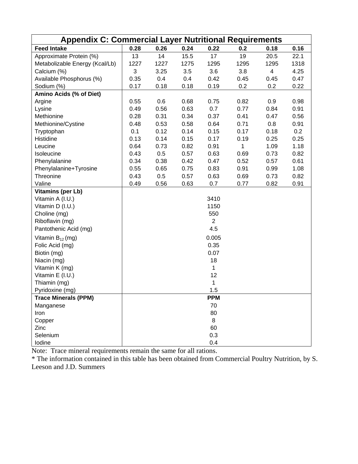|                                | <b>Appendix C: Commercial Layer Nutritional Requirements</b> |      |      |                |      |                |      |  |  |
|--------------------------------|--------------------------------------------------------------|------|------|----------------|------|----------------|------|--|--|
| <b>Feed Intake</b>             | 0.28                                                         | 0.26 | 0.24 | 0.22           | 0.2  | 0.18           | 0.16 |  |  |
| Approximate Protein (%)        | 13                                                           | 14   | 15.5 | 17             | 19   | 20.5           | 22.1 |  |  |
| Metabolizable Energy (Kcal/Lb) | 1227                                                         | 1227 | 1275 | 1295           | 1295 | 1295           | 1318 |  |  |
| Calcium (%)                    | 3                                                            | 3.25 | 3.5  | 3.6            | 3.8  | $\overline{4}$ | 4.25 |  |  |
| Available Phosphorus (%)       | 0.35                                                         | 0.4  | 0.4  | 0.42           | 0.45 | 0.45           | 0.47 |  |  |
| Sodium (%)                     | 0.17                                                         | 0.18 | 0.18 | 0.19           | 0.2  | 0.2            | 0.22 |  |  |
| Amino Acids (% of Diet)        |                                                              |      |      |                |      |                |      |  |  |
| Argine                         | 0.55                                                         | 0.6  | 0.68 | 0.75           | 0.82 | 0.9            | 0.98 |  |  |
| Lysine                         | 0.49                                                         | 0.56 | 0.63 | 0.7            | 0.77 | 0.84           | 0.91 |  |  |
| Methionine                     | 0.28                                                         | 0.31 | 0.34 | 0.37           | 0.41 | 0.47           | 0.56 |  |  |
| Methionine/Cystine             | 0.48                                                         | 0.53 | 0.58 | 0.64           | 0.71 | 0.8            | 0.91 |  |  |
| Tryptophan                     | 0.1                                                          | 0.12 | 0.14 | 0.15           | 0.17 | 0.18           | 0.2  |  |  |
| Histidine                      | 0.13                                                         | 0.14 | 0.15 | 0.17           | 0.19 | 0.25           | 0.25 |  |  |
| Leucine                        | 0.64                                                         | 0.73 | 0.82 | 0.91           | 1    | 1.09           | 1.18 |  |  |
| Isoleucine                     | 0.43                                                         | 0.5  | 0.57 | 0.63           | 0.69 | 0.73           | 0.82 |  |  |
| Phenylalanine                  | 0.34                                                         | 0.38 | 0.42 | 0.47           | 0.52 | 0.57           | 0.61 |  |  |
| Phenylalanine+Tyrosine         | 0.55                                                         | 0.65 | 0.75 | 0.83           | 0.91 | 0.99           | 1.08 |  |  |
| Threonine                      | 0.43                                                         | 0.5  | 0.57 | 0.63           | 0.69 | 0.73           | 0.82 |  |  |
| Valine                         | 0.49                                                         | 0.56 | 0.63 | 0.7            | 0.77 | 0.82           | 0.91 |  |  |
| <b>Vitamins (per Lb)</b>       |                                                              |      |      |                |      |                |      |  |  |
| Vitamin A (I.U.)               |                                                              |      |      | 3410           |      |                |      |  |  |
| Vitamin D (I.U.)               |                                                              |      |      | 1150           |      |                |      |  |  |
| Choline (mg)                   |                                                              |      |      | 550            |      |                |      |  |  |
| Riboflavin (mg)                |                                                              |      |      | $\overline{2}$ |      |                |      |  |  |
| Pantothenic Acid (mg)          |                                                              |      |      | 4.5            |      |                |      |  |  |
| Vitamin $B_{12}$ (mg)          |                                                              |      |      | 0.005          |      |                |      |  |  |
| Folic Acid (mg)                |                                                              |      |      | 0.35           |      |                |      |  |  |
| Biotin (mg)                    |                                                              |      |      | 0.07           |      |                |      |  |  |
| Niacin (mg)                    |                                                              |      |      | 18             |      |                |      |  |  |
| Vitamin K (mg)                 |                                                              |      |      | 1              |      |                |      |  |  |
| Vitamin E (I.U.)               |                                                              |      |      | 12             |      |                |      |  |  |
| Thiamin (mg)                   |                                                              |      |      | 1              |      |                |      |  |  |
| Pyridoxine (mg)                |                                                              |      |      | 1.5            |      |                |      |  |  |
| Trace Minerals (PPM)           |                                                              |      |      | <b>PPM</b>     |      |                |      |  |  |
| Manganese                      |                                                              |      |      | 70             |      |                |      |  |  |
| Iron                           |                                                              |      |      | 80             |      |                |      |  |  |
| Copper                         |                                                              |      |      | 8              |      |                |      |  |  |
| Zinc                           |                                                              |      |      | 60             |      |                |      |  |  |
| Selenium                       |                                                              |      |      | 0.3            |      |                |      |  |  |
| Iodine                         |                                                              |      |      | 0.4            |      |                |      |  |  |

Note: Trace mineral requirements remain the same for all rations.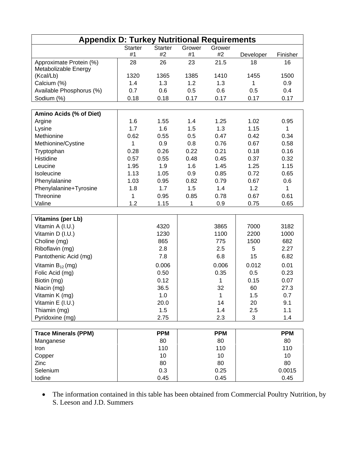| <b>Appendix D: Turkey Nutritional Requirements</b> |                |                |        |              |           |            |  |
|----------------------------------------------------|----------------|----------------|--------|--------------|-----------|------------|--|
|                                                    | <b>Starter</b> | <b>Starter</b> | Grower | Grower       |           |            |  |
|                                                    | #1             | #2             | #1     | #2           | Developer | Finisher   |  |
| Approximate Protein (%)                            | 28             | 26             | 23     | 21.5         | 18        | 16         |  |
| Metabolizable Energy                               |                |                |        |              |           |            |  |
| (Kcal/Lb)                                          | 1320           | 1365           | 1385   | 1410         | 1455      | 1500       |  |
| Calcium (%)                                        | 1.4            | 1.3            | 1.2    | 1.3          | 1         | 0.9        |  |
| Available Phosphorus (%)                           | 0.7            | 0.6            | 0.5    | 0.6          | 0.5       | 0.4        |  |
| Sodium (%)                                         | 0.18           | 0.18           | 0.17   | 0.17         | 0.17      | 0.17       |  |
|                                                    |                |                |        |              |           |            |  |
| Amino Acids (% of Diet)                            |                |                |        |              |           |            |  |
| Argine                                             | 1.6            | 1.55           | 1.4    | 1.25         | 1.02      | 0.95       |  |
| Lysine                                             | 1.7            | 1.6            | 1.5    | 1.3          | 1.15      | 1          |  |
| Methionine                                         | 0.62           | 0.55           | 0.5    | 0.47         | 0.42      | 0.34       |  |
| Methionine/Cystine                                 | 1              | 0.9            | 0.8    | 0.76         | 0.67      | 0.58       |  |
| Tryptophan                                         | 0.28           | 0.26           | 0.22   | 0.21         | 0.18      | 0.16       |  |
| Histidine                                          | 0.57           | 0.55           | 0.48   | 0.45         | 0.37      | 0.32       |  |
| Leucine                                            | 1.95           | 1.9            | 1.6    | 1.45         | 1.25      | 1.15       |  |
| Isoleucine                                         | 1.13           | 1.05           | 0.9    | 0.85         | 0.72      | 0.65       |  |
| Phenylalanine                                      | 1.03           | 0.95           | 0.82   | 0.79         | 0.67      | 0.6        |  |
| Phenylalanine+Tyrosine                             | 1.8            | 1.7            | 1.5    | 1.4          | 1.2       | 1          |  |
| Threonine                                          | $\mathbf{1}$   | 0.95           | 0.85   | 0.78         | 0.67      | 0.61       |  |
| Valine                                             | 1.2            | 1.15           | 1      | 0.9          | 0.75      | 0.65       |  |
|                                                    |                |                |        |              |           |            |  |
| <b>Vitamins (per Lb)</b>                           |                |                |        |              |           |            |  |
| Vitamin A (I.U.)                                   |                | 4320           |        | 3865         | 7000      | 3182       |  |
| Vitamin D (I.U.)                                   |                | 1230           |        | 1100         | 2200      | 1000       |  |
| Choline (mg)                                       |                | 865            |        | 775          | 1500      | 682        |  |
|                                                    |                | 2.8            |        | 2.5          | 5         | 2.27       |  |
| Riboflavin (mg)                                    |                | 7.8            |        | 6.8          | 15        | 6.82       |  |
| Pantothenic Acid (mg)                              |                |                |        |              |           |            |  |
| Vitamin $B_{12}$ (mg)                              |                | 0.006          |        | 0.006        | 0.012     | 0.01       |  |
| Folic Acid (mg)                                    |                | 0.50           |        | 0.35         | 0.5       | 0.23       |  |
| Biotin (mg)                                        |                | 0.12           |        | 1            | 0.15      | 0.07       |  |
| Niacin (mg)                                        |                | 36.5           |        | 32           | 60        | 27.3       |  |
| Vitamin K (mg)                                     |                | 1.0            |        | $\mathbf{1}$ | 1.5       | 0.7        |  |
| Vitamin E (I.U.)                                   |                | 20.0           |        | 14           | 20        | 9.1        |  |
| Thiamin (mg)                                       |                | 1.5            |        | 1.4          | 2.5       | 1.1        |  |
| Pyridoxine (mg)                                    |                | 2.75           |        | 2.3          | 3         | 1.4        |  |
|                                                    |                |                |        |              |           |            |  |
| <b>Trace Minerals (PPM)</b>                        |                | <b>PPM</b>     |        | <b>PPM</b>   |           | <b>PPM</b> |  |
| Manganese                                          |                | 80             |        | 80           |           | 80         |  |
| Iron                                               |                | 110            |        | 110          |           | 110        |  |
| Copper                                             |                | 10             |        | 10           |           | 10         |  |
| Zinc                                               |                | 80             |        | 80           |           | 80         |  |
| Selenium                                           |                | 0.3            |        | 0.25         |           | 0.0015     |  |
| lodine                                             |                | 0.45           |        | 0.45         |           | 0.45       |  |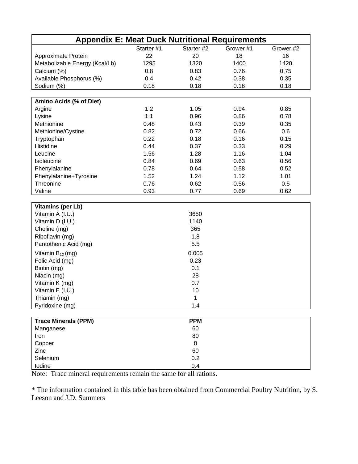| <b>Appendix E: Meat Duck Nutritional Requirements</b> |            |            |           |           |
|-------------------------------------------------------|------------|------------|-----------|-----------|
|                                                       | Starter #1 | Starter #2 | Grower #1 | Grower #2 |
| Approximate Protein                                   | 22         | 20         | 18        | 16        |
| Metabolizable Energy (Kcal/Lb)                        | 1295       | 1320       | 1400      | 1420      |
| Calcium (%)                                           | 0.8        | 0.83       | 0.76      | 0.75      |
| Available Phosphorus (%)                              | 0.4        | 0.42       | 0.38      | 0.35      |
| Sodium (%)                                            | 0.18       | 0.18       | 0.18      | 0.18      |
|                                                       |            |            |           |           |
| Amino Acids (% of Diet)                               |            |            |           |           |
| Argine                                                | 1.2        | 1.05       | 0.94      | 0.85      |
| Lysine                                                | 1.1        | 0.96       | 0.86      | 0.78      |
| Methionine                                            | 0.48       | 0.43       | 0.39      | 0.35      |
| Methionine/Cystine                                    | 0.82       | 0.72       | 0.66      | 0.6       |
| Tryptophan                                            | 0.22       | 0.18       | 0.16      | 0.15      |
| Histidine                                             | 0.44       | 0.37       | 0.33      | 0.29      |
| Leucine                                               | 1.56       | 1.28       | 1.16      | 1.04      |
| Isoleucine                                            | 0.84       | 0.69       | 0.63      | 0.56      |
| Phenylalanine                                         | 0.78       | 0.64       | 0.58      | 0.52      |
| Phenylalanine+Tyrosine                                | 1.52       | 1.24       | 1.12      | 1.01      |
| Threonine                                             | 0.76       | 0.62       | 0.56      | 0.5       |
| Valine                                                | 0.93       | 0.77       | 0.69      | 0.62      |
|                                                       |            |            |           |           |
| <b>Vitamins (per Lb)</b>                              |            |            |           |           |
| Vitamin A (I.U.)                                      |            | 3650       |           |           |
| Vitamin D (I.U.)                                      |            | 1140       |           |           |
| Choline (mg)                                          |            | 365        |           |           |
| Riboflavin (mg)                                       |            | 1.8        |           |           |
| Pantothenic Acid (mg)                                 |            | 5.5        |           |           |
| Vitamin $B_{12}$ (mg)                                 |            | 0.005      |           |           |
| Folic Acid (mg)                                       |            | 0.23       |           |           |
| Biotin (mg)                                           |            | 0.1        |           |           |
| Niacin (mg)                                           |            | 28         |           |           |
| Vitamin K (mg)                                        |            | 0.7        |           |           |
| Vitamin E (I.U.)                                      |            | 10         |           |           |
| Thiamin (mg)                                          |            | 1          |           |           |
| Pyridoxine (mg)                                       |            | 1.4        |           |           |
|                                                       |            |            |           |           |
| <b>Trace Minerals (PPM)</b>                           |            | <b>PPM</b> |           |           |
| Manganese                                             |            | 60         |           |           |
| Iron                                                  |            | 80         |           |           |
| Copper                                                |            | 8          |           |           |
| Zinc                                                  |            | 60         |           |           |
| Selenium                                              |            | 0.2        |           |           |
| Iodine                                                |            | 0.4        |           |           |

Note: Trace mineral requirements remain the same for all rations.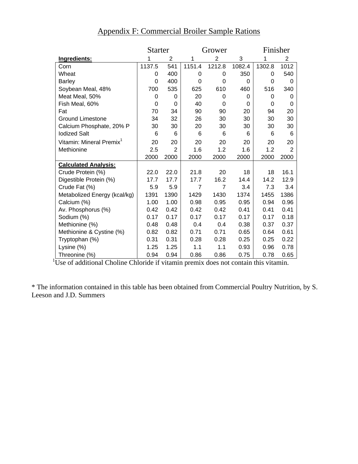|                                      | Starter<br>Grower |                | Finisher       |                |          |        |                |
|--------------------------------------|-------------------|----------------|----------------|----------------|----------|--------|----------------|
| Ingredients:                         |                   | $\overline{2}$ | 1              | $\overline{2}$ | 3        | 1      | 2              |
| Corn                                 | 1137.5            | 541            | 1151.4         | 1212.8         | 1082.4   | 1302.8 | 1012           |
| Wheat                                | 0                 | 400            | 0              | 0              | 350      | 0      | 540            |
| <b>Barley</b>                        | $\Omega$          | 400            | $\Omega$       | $\Omega$       | $\Omega$ | 0      | $\Omega$       |
| Soybean Meal, 48%                    | 700               | 535            | 625            | 610            | 460      | 516    | 340            |
| Meat Meal, 50%                       | 0                 | 0              | 20             | 0              | 0        | 0      | 0              |
| Fish Meal, 60%                       | 0                 | 0              | 40             | 0              | $\Omega$ | 0      | 0              |
| Fat                                  | 70                | 34             | 90             | 90             | 20       | 94     | 20             |
| <b>Ground Limestone</b>              | 34                | 32             | 26             | 30             | 30       | 30     | 30             |
| Calcium Phosphate, 20% P             | 30                | 30             | 20             | 30             | 30       | 30     | 30             |
| <b>lodized Salt</b>                  | 6                 | 6              | 6              | 6              | 6        | 6      | 6              |
| Vitamin: Mineral Premix <sup>1</sup> | 20                | 20             | 20             | 20             | 20       | 20     | 20             |
| Methionine                           | 2.5               | $\overline{2}$ | 1.6            | 1.2            | 1.6      | 1.2    | $\overline{2}$ |
|                                      | 2000              | 2000           | 2000           | 2000           | 2000     | 2000   | 2000           |
| <b>Calculated Analysis:</b>          |                   |                |                |                |          |        |                |
| Crude Protein (%)                    | 22.0              | 22.0           | 21.8           | 20             | 18       | 18     | 16.1           |
| Digestible Protein (%)               | 17.7              | 17.7           | 17.7           | 16.2           | 14.4     | 14.2   | 12.9           |
| Crude Fat (%)                        | 5.9               | 5.9            | $\overline{7}$ | $\overline{7}$ | 3.4      | 7.3    | 3.4            |
| Metabolized Energy (kcal/kg)         | 1391              | 1390           | 1429           | 1430           | 1374     | 1455   | 1386           |
| Calcium (%)                          | 1.00              | 1.00           | 0.98           | 0.95           | 0.95     | 0.94   | 0.96           |
| Av. Phosphorus (%)                   | 0.42              | 0.42           | 0.42           | 0.42           | 0.41     | 0.41   | 0.41           |
| Sodium (%)                           | 0.17              | 0.17           | 0.17           | 0.17           | 0.17     | 0.17   | 0.18           |
| Methionine (%)                       | 0.48              | 0.48           | 0.4            | 0.4            | 0.38     | 0.37   | 0.37           |
| Methionine & Cystine (%)             | 0.82              | 0.82           | 0.71           | 0.71           | 0.65     | 0.64   | 0.61           |
| Tryptophan (%)                       | 0.31              | 0.31           | 0.28           | 0.28           | 0.25     | 0.25   | 0.22           |
| Lysine (%)                           | 1.25              | 1.25           | 1.1            | 1.1            | 0.93     | 0.96   | 0.78           |
| Threonine (%)                        | 0.94              | 0.94           | 0.86           | 0.86           | 0.75     | 0.78   | 0.65           |

# Appendix F: Commercial Broiler Sample Rations

Threonine (%) 0.94 0.94 0.86 0.86 0.75 0.78 0.65 1 Use of additional Choline Chloride if vitamin premix does not contain this vitamin.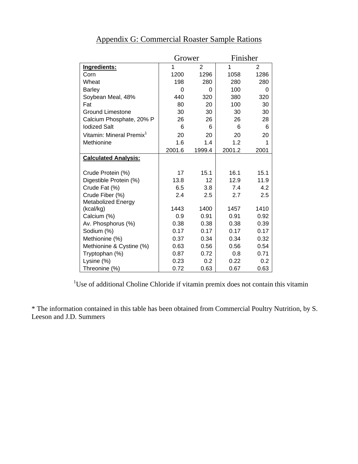|                                      | Grower              |        | Finisher |      |
|--------------------------------------|---------------------|--------|----------|------|
| Ingredients:                         | 1<br>$\overline{2}$ |        | 1        | 2    |
| Corn                                 | 1200                | 1296   | 1058     | 1286 |
| Wheat                                | 198                 | 280    | 280      | 280  |
| <b>Barley</b>                        | 0                   | 0      | 100      | 0    |
| Soybean Meal, 48%                    | 440                 | 320    | 380      | 320  |
| Fat                                  | 80                  | 20     | 100      | 30   |
| <b>Ground Limestone</b>              | 30                  | 30     | 30       | 30   |
| Calcium Phosphate, 20% P             | 26                  | 26     | 26       | 28   |
| <b>lodized Salt</b>                  | 6                   | 6      | 6        | 6    |
| Vitamin: Mineral Premix <sup>1</sup> | 20                  | 20     | 20       | 20   |
| Methionine                           | 1.6                 | 1.4    | 1.2      | 1    |
|                                      | 2001.6              | 1999.4 | 2001.2   | 2001 |
| <b>Calculated Analysis:</b>          |                     |        |          |      |
|                                      |                     |        |          |      |
| Crude Protein (%)                    | 17                  | 15.1   | 16.1     | 15.1 |
| Digestible Protein (%)               | 13.8                | 12     | 12.9     | 11.9 |
| Crude Fat (%)                        | 6.5                 | 3.8    | 7.4      | 4.2  |
| Crude Fiber (%)                      | 2.4                 | 2.5    | 2.7      | 2.5  |
| Metabolized Energy                   |                     |        |          |      |
| (kcal/kg)                            | 1443                | 1400   | 1457     | 1410 |
| Calcium (%)                          | 0.9                 | 0.91   | 0.91     | 0.92 |
| Av. Phosphorus (%)                   | 0.38                | 0.38   | 0.38     | 0.39 |
| Sodium (%)                           | 0.17                | 0.17   | 0.17     | 0.17 |
| Methionine (%)                       | 0.37                | 0.34   | 0.34     | 0.32 |
| Methionine & Cystine (%)             | 0.63                | 0.56   | 0.56     | 0.54 |
| Tryptophan (%)                       | 0.87                | 0.72   | 0.8      | 0.71 |
| Lysine (%)                           | 0.23                | 0.2    | 0.22     | 0.2  |
| Threonine (%)                        | 0.72                | 0.63   | 0.67     | 0.63 |

# Appendix G: Commercial Roaster Sample Rations

<sup>1</sup>Use of additional Choline Chloride if vitamin premix does not contain this vitamin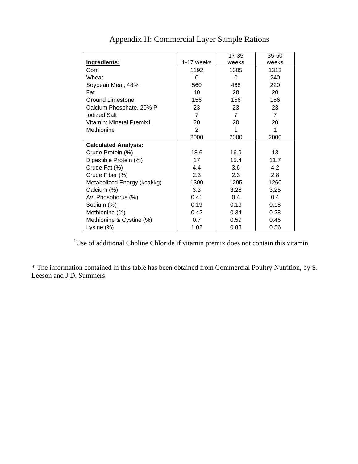|                              |                  | $17 - 35$      | $35 - 50$      |
|------------------------------|------------------|----------------|----------------|
| Ingredients:                 | 1-17 weeks       | weeks          | weeks          |
| Corn                         | 1192             | 1305           | 1313           |
| Wheat                        | $\Omega$         | $\Omega$       | 240            |
| Soybean Meal, 48%            | 560              | 468            | 220            |
| Fat                          | 40               | 20             | 20             |
| <b>Ground Limestone</b>      | 156              | 156            | 156            |
| Calcium Phosphate, 20% P     | 23               | 23             | 23             |
| <b>lodized Salt</b>          | $\overline{7}$   | $\overline{7}$ | $\overline{7}$ |
| Vitamin: Mineral Premix1     | 20               | 20             | 20             |
| Methionine                   | 2                | 1              | 1              |
|                              | 2000             | 2000           | 2000           |
| <b>Calculated Analysis:</b>  |                  |                |                |
| Crude Protein (%)            | 18.6             | 16.9           | 13             |
| Digestible Protein (%)       | 17               | 15.4           | 11.7           |
| Crude Fat (%)                | 4.4              | 3.6            | 4.2            |
| Crude Fiber (%)              | 2.3              | 2.3            | 2.8            |
| Metabolized Energy (kcal/kg) | 1300             | 1295           | 1260           |
| Calcium (%)                  | 3.3 <sub>2</sub> | 3.26           | 3.25           |
| Av. Phosphorus (%)           | 0.41             | 0.4            | 0.4            |
| Sodium (%)                   | 0.19             | 0.19           | 0.18           |
| Methionine (%)               | 0.42             | 0.34           | 0.28           |
| Methionine & Cystine (%)     | 0.7              | 0.59           | 0.46           |
| Lysine (%)                   | 1.02             | 0.88           | 0.56           |

Appendix H: Commercial Layer Sample Rations

<sup>1</sup>Use of additional Choline Chloride if vitamin premix does not contain this vitamin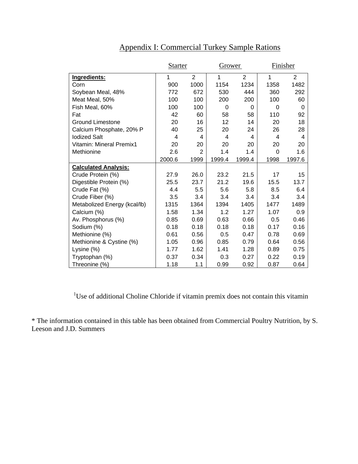|                                 | <b>Starter</b> |                | Grower       |                | Finisher |                |
|---------------------------------|----------------|----------------|--------------|----------------|----------|----------------|
| Ingredients:                    | $\mathbf 1$    | $\overline{2}$ | $\mathbf{1}$ | $\overline{2}$ | 1        | $\overline{2}$ |
| Corn                            | 900            | 1000           | 1154         | 1234           | 1358     | 1482           |
| Soybean Meal, 48%               | 772            | 672            | 530          | 444            | 360      | 292            |
| Meat Meal, 50%                  | 100            | 100            | 200          | 200            | 100      | 60             |
| Fish Meal, 60%                  | 100            | 100            | 0            | 0              | $\Omega$ | 0              |
| Fat                             | 42             | 60             | 58           | 58             | 110      | 92             |
| <b>Ground Limestone</b>         | 20             | 16             | 12           | 14             | 20       | 18             |
| Calcium Phosphate, 20% P        | 40             | 25             | 20           | 24             | 26       | 28             |
| <b>lodized Salt</b>             | 4              | 4              | 4            | 4              | 4        | 4              |
| <b>Vitamin: Mineral Premix1</b> | 20             | 20             | 20           | 20             | 20       | 20             |
| Methionine                      | 2.6            | $\overline{2}$ | 1.4          | 1.4            | $\Omega$ | 1.6            |
|                                 | 2000.6         | 1999           | 1999.4       | 1999.4         | 1998     | 1997.6         |
| <b>Calculated Analysis:</b>     |                |                |              |                |          |                |
| Crude Protein (%)               | 27.9           | 26.0           | 23.2         | 21.5           | 17       | 15             |
| Digestible Protein (%)          | 25.5           | 23.7           | 21.2         | 19.6           | 15.5     | 13.7           |
| Crude Fat (%)                   | 4.4            | 5.5            | 5.6          | 5.8            | 8.5      | 6.4            |
| Crude Fiber (%)                 | 3.5            | 3.4            | 3.4          | 3.4            | 3.4      | 3.4            |
| Metabolized Energy (kcal/lb)    | 1315           | 1364           | 1394         | 1405           | 1477     | 1489           |
| Calcium (%)                     | 1.58           | 1.34           | 1.2          | 1.27           | 1.07     | 0.9            |
| Av. Phosphorus (%)              | 0.85           | 0.69           | 0.63         | 0.66           | 0.5      | 0.46           |
| Sodium (%)                      | 0.18           | 0.18           | 0.18         | 0.18           | 0.17     | 0.16           |
| Methionine (%)                  | 0.61           | 0.56           | 0.5          | 0.47           | 0.78     | 0.69           |
| Methionine & Cystine (%)        | 1.05           | 0.96           | 0.85         | 0.79           | 0.64     | 0.56           |
| Lysine (%)                      | 1.77           | 1.62           | 1.41         | 1.28           | 0.89     | 0.75           |
| Tryptophan (%)                  | 0.37           | 0.34           | 0.3          | 0.27           | 0.22     | 0.19           |
| Threonine (%)                   | 1.18           | 1.1            | 0.99         | 0.92           | 0.87     | 0.64           |

# Appendix I: Commercial Turkey Sample Rations

<sup>1</sup>Use of additional Choline Chloride if vitamin premix does not contain this vitamin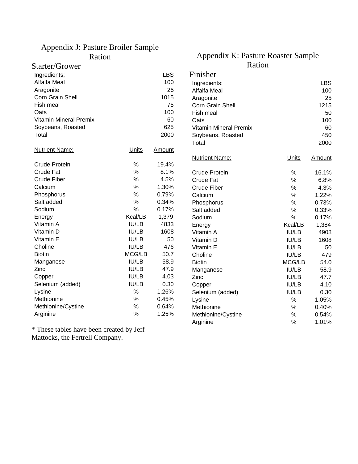## Appendix J: Pasture Broiler Sample Ration

Starter/Grower

## Appendix K: Pasture Roaster Sample Ration

| Ingredients:                  |         | <b>LBS</b> | Finisher                      |         |        |
|-------------------------------|---------|------------|-------------------------------|---------|--------|
| Alfalfa Meal                  |         | 100        | Ingredients:                  |         | LBS    |
| Aragonite                     |         | 25         | Alfalfa Meal                  |         | 100    |
| Corn Grain Shell              |         | 1015       | Aragonite                     |         | 25     |
| Fish meal                     |         | 75         | Corn Grain Shell              |         | 1215   |
| Oats                          |         | 100        | Fish meal                     |         | 50     |
| <b>Vitamin Mineral Premix</b> |         | 60         | Oats                          |         | 100    |
| Soybeans, Roasted             |         | 625        | <b>Vitamin Mineral Premix</b> |         | 60     |
| Total                         |         | 2000       | Soybeans, Roasted             |         | 450    |
|                               |         |            | Total                         |         | 2000   |
| <b>Nutrient Name:</b>         | Units   | Amount     |                               |         |        |
|                               |         |            | <b>Nutrient Name:</b>         | Units   | Amount |
| <b>Crude Protein</b>          | %       | 19.4%      |                               |         |        |
| <b>Crude Fat</b>              | %       | 8.1%       | Crude Protein                 | $\%$    | 16.1%  |
| <b>Crude Fiber</b>            | $\%$    | 4.5%       | <b>Crude Fat</b>              | %       | 6.8%   |
| Calcium                       | $\%$    | 1.30%      | <b>Crude Fiber</b>            | %       | 4.3%   |
| Phosphorus                    | %       | 0.79%      | Calcium                       | %       | 1.22%  |
| Salt added                    | %       | 0.34%      | Phosphorus                    | $\%$    | 0.73%  |
| Sodium                        | $\%$    | 0.17%      | Salt added                    | $\%$    | 0.33%  |
| Energy                        | Kcal/LB | 1,379      | Sodium                        | %       | 0.17%  |
| Vitamin A                     | IU/LB   | 4833       | Energy                        | Kcal/LB | 1,384  |
| Vitamin D                     | IU/LB   | 1608       | Vitamin A                     | IU/LB   | 4908   |
| Vitamin E                     | IU/LB   | 50         | Vitamin D                     | IU/LB   | 1608   |
| Choline                       | IU/LB   | 476        | Vitamin E                     | IU/LB   | 50     |
| <b>Biotin</b>                 | MCG/LB  | 50.7       | Choline                       | IU/LB   | 479    |
| Manganese                     | IU/LB   | 58.9       | <b>Biotin</b>                 | MCG/LB  | 54.0   |
| Zinc                          | IU/LB   | 47.9       | Manganese                     | IU/LB   | 58.9   |
| Copper                        | IU/LB   | 4.03       | Zinc                          | IU/LB   | 47.7   |
| Selenium (added)              | IU/LB   | 0.30       | Copper                        | IU/LB   | 4.10   |
| Lysine                        | %       | 1.26%      | Selenium (added)              | IU/LB   | 0.30   |
| Methionine                    | $\%$    | 0.45%      | Lysine                        | $\%$    | 1.05%  |
| Methionine/Cystine            | $\%$    | 0.64%      | Methionine                    | $\%$    | 0.40%  |
| Arginine                      | $\%$    | 1.25%      | Methionine/Cystine            | %       | 0.54%  |
|                               |         |            | Arginine                      | %       | 1.01%  |

\* These tables have been created by Jeff Mattocks, the Fertrell Company.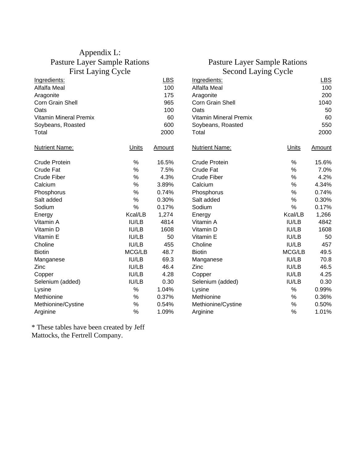## Appendix L: Pasture Layer Sample Rations First Laying Cycle

## Pasture Layer Sample Rations Second Laving Cycle

| Ingredients:                  |         | LBS    | Ingredients:                  |         | <b>LBS</b> |
|-------------------------------|---------|--------|-------------------------------|---------|------------|
| Alfalfa Meal                  |         | 100    | <b>Alfalfa Meal</b>           |         | 100        |
| Aragonite                     |         | 175    | Aragonite                     |         | 200        |
| Corn Grain Shell              |         | 965    | Corn Grain Shell              |         | 1040       |
| Oats                          |         | 100    | Oats                          |         | 50         |
| <b>Vitamin Mineral Premix</b> |         | 60     | <b>Vitamin Mineral Premix</b> |         | 60         |
| Soybeans, Roasted             |         | 600    | Soybeans, Roasted             |         | 550        |
| Total                         |         | 2000   | Total                         |         | 2000       |
| <b>Nutrient Name:</b>         | Units   | Amount | <b>Nutrient Name:</b>         | Units   | Amount     |
| <b>Crude Protein</b>          | %       | 16.5%  | <b>Crude Protein</b>          | %       | 15.6%      |
| <b>Crude Fat</b>              | $\%$    | 7.5%   | Crude Fat                     | $\%$    | 7.0%       |
| <b>Crude Fiber</b>            | $\%$    | 4.3%   | Crude Fiber                   | $\%$    | 4.2%       |
| Calcium                       | $\%$    | 3.89%  | Calcium                       | %       | 4.34%      |
| Phosphorus                    | $\%$    | 0.74%  | Phosphorus                    | %       | 0.74%      |
| Salt added                    | $\%$    | 0.30%  | Salt added                    | $\%$    | 0.30%      |
| Sodium                        | $\%$    | 0.17%  | Sodium                        | $\%$    | 0.17%      |
| Energy                        | Kcal/LB | 1,274  | Energy                        | Kcal/LB | 1,266      |
| Vitamin A                     | IU/LB   | 4814   | Vitamin A                     | IU/LB   | 4842       |
| Vitamin D                     | IU/LB   | 1608   | Vitamin D                     | IU/LB   | 1608       |
| Vitamin E                     | IU/LB   | 50     | Vitamin E                     | IU/LB   | 50         |
| Choline                       | IU/LB   | 455    | Choline                       | IU/LB   | 457        |
| <b>Biotin</b>                 | MCG/LB  | 48.7   | <b>Biotin</b>                 | MCG/LB  | 49.5       |
| Manganese                     | IU/LB   | 69.3   | Manganese                     | IU/LB   | 70.8       |
| Zinc                          | IU/LB   | 46.4   | Zinc                          | IU/LB   | 46.5       |
| Copper                        | IU/LB   | 4.28   | Copper                        | IU/LB   | 4.25       |
| Selenium (added)              | IU/LB   | 0.30   | Selenium (added)              | IU/LB   | 0.30       |
| Lysine                        | %       | 1.04%  | Lysine                        | %       | 0.99%      |
| Methionine                    | $\%$    | 0.37%  | Methionine                    | %       | 0.36%      |
| Methionine/Cystine            | $\%$    | 0.54%  | Methionine/Cystine            | $\%$    | 0.50%      |
| Arginine                      | %       | 1.09%  | Arginine                      | $\%$    | 1.01%      |

\* These tables have been created by Jeff Mattocks, the Fertrell Company.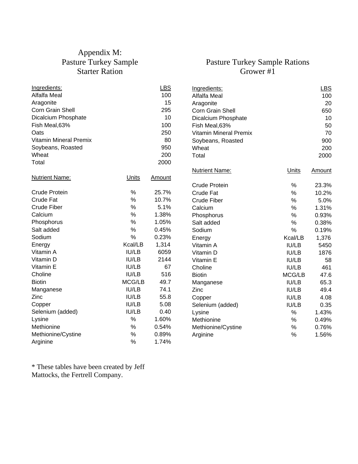# Appendix M: Pasture Turkey Sample Starter Ration

# Pasture Turkey Sample Rations Grower #1

| Ingredients:                  |              | <b>LBS</b>    | Ingredients:                  |              | <b>LBS</b> |
|-------------------------------|--------------|---------------|-------------------------------|--------------|------------|
| Alfalfa Meal                  |              | 100           | Alfalfa Meal                  |              | 100        |
| Aragonite                     |              | 15            | Aragonite                     |              | 20         |
| Corn Grain Shell              |              | 295           | Corn Grain Shell              |              | 650        |
| Dicalcium Phosphate           |              | 10            | Dicalcium Phosphate           |              | 10         |
| Fish Meal, 63%                |              | 100           | Fish Meal, 63%                |              | 50         |
| Oats                          |              | 250           | <b>Vitamin Mineral Premix</b> |              | 70         |
| <b>Vitamin Mineral Premix</b> |              | 80            | Soybeans, Roasted             |              | 900        |
| Soybeans, Roasted             |              | 950           | Wheat                         |              | 200        |
| Wheat                         |              | 200           | Total                         |              | 2000       |
| Total                         |              | 2000          |                               |              |            |
|                               |              |               | <b>Nutrient Name:</b>         | <b>Units</b> | Amount     |
| <b>Nutrient Name:</b>         | <b>Units</b> | <b>Amount</b> |                               |              |            |
|                               |              |               | <b>Crude Protein</b>          | $\%$         | 23.3%      |
| <b>Crude Protein</b>          | $\%$         | 25.7%         | <b>Crude Fat</b>              | $\%$         | 10.2%      |
| <b>Crude Fat</b>              | %            | 10.7%         | <b>Crude Fiber</b>            | $\%$         | 5.0%       |
| <b>Crude Fiber</b>            | $\%$         | 5.1%          | Calcium                       | $\%$         | 1.31%      |
| Calcium                       | $\%$         | 1.38%         | Phosphorus                    | $\%$         | 0.93%      |
| Phosphorus                    | $\%$         | 1.05%         | Salt added                    | $\%$         | 0.38%      |
| Salt added                    | $\%$         | 0.45%         | Sodium                        | $\%$         | 0.19%      |
| Sodium                        | $\%$         | 0.23%         | Energy                        | Kcal/LB      | 1,376      |
| Energy                        | Kcal/LB      | 1,314         | Vitamin A                     | IU/LB        | 5450       |
| Vitamin A                     | IU/LB        | 6059          | Vitamin D                     | IU/LB        | 1876       |
| Vitamin D                     | IU/LB        | 2144          | Vitamin E                     | IU/LB        | 58         |
| Vitamin E                     | <b>IU/LB</b> | 67            | Choline                       | IU/LB        | 461        |
| Choline                       | IU/LB        | 516           | <b>Biotin</b>                 | MCG/LB       | 47.6       |
| <b>Biotin</b>                 | MCG/LB       | 49.7          | Manganese                     | <b>IU/LB</b> | 65.3       |
| Manganese                     | IU/LB        | 74.1          | Zinc                          | IU/LB        | 49.4       |
| Zinc                          | IU/LB        | 55.8          | Copper                        | IU/LB        | 4.08       |
| Copper                        | IU/LB        | 5.08          | Selenium (added)              | IU/LB        | 0.35       |
| Selenium (added)              | IU/LB        | 0.40          | Lysine                        | $\%$         | 1.43%      |
| Lysine                        | $\%$         | 1.60%         | Methionine                    | $\%$         | 0.49%      |
| Methionine                    | %            | 0.54%         | Methionine/Cystine            | $\%$         | 0.76%      |
| Methionine/Cystine            | $\%$         | 0.89%         | Arginine                      | $\%$         | 1.56%      |
| Arginine                      | %            | 1.74%         |                               |              |            |
|                               |              |               |                               |              |            |

\* These tables have been created by Jeff Mattocks, the Fertrell Company.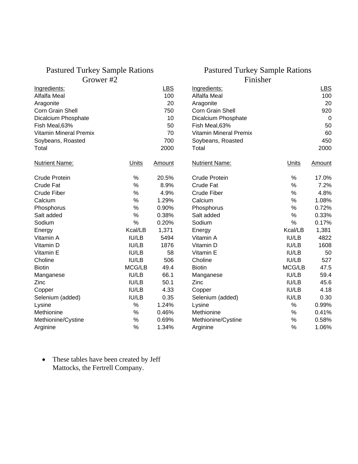# Pastured Turkey Sample Rations

Grower #2

## Pastured Turkey Sample Rations Finisher

| Ingredients:                  |         | <b>LBS</b> | Ingredients:                  |              | LBS         |
|-------------------------------|---------|------------|-------------------------------|--------------|-------------|
| Alfalfa Meal                  |         | 100        | Alfalfa Meal                  |              | 100         |
| Aragonite                     |         | 20         | Aragonite                     |              | 20          |
| Corn Grain Shell              |         | 750        | Corn Grain Shell              |              | 920         |
| Dicalcium Phosphate           |         | 10         | Dicalcium Phosphate           |              | $\mathbf 0$ |
| Fish Meal, 63%                |         | 50         | Fish Meal, 63%                |              | 50          |
| <b>Vitamin Mineral Premix</b> |         | 70         | <b>Vitamin Mineral Premix</b> |              | 60          |
| Soybeans, Roasted             |         | 700        | Soybeans, Roasted             |              | 450         |
| Total                         |         | 2000       | Total                         |              | 2000        |
| <b>Nutrient Name:</b>         | Units   | Amount     | <b>Nutrient Name:</b>         | Units        | Amount      |
| <b>Crude Protein</b>          | $\%$    | 20.5%      | <b>Crude Protein</b>          | $\%$         | 17.0%       |
| <b>Crude Fat</b>              | %       | 8.9%       | Crude Fat                     | %            | 7.2%        |
| <b>Crude Fiber</b>            | $\%$    | 4.9%       | Crude Fiber                   | %            | 4.8%        |
| Calcium                       | %       | 1.29%      | Calcium                       | %            | 1.08%       |
| Phosphorus                    | %       | 0.90%      | Phosphorus                    | %            | 0.72%       |
| Salt added                    | $\%$    | 0.38%      | Salt added                    | $\%$         | 0.33%       |
| Sodium                        | %       | 0.20%      | Sodium                        | $\%$         | 0.17%       |
| Energy                        | Kcal/LB | 1,371      | Energy                        | Kcal/LB      | 1,381       |
| Vitamin A                     | IU/LB   | 5494       | Vitamin A                     | IU/LB        | 4822        |
| Vitamin D                     | IU/LB   | 1876       | Vitamin D                     | <b>IU/LB</b> | 1608        |
| Vitamin E                     | IU/LB   | 58         | Vitamin E                     | IU/LB        | 50          |
| Choline                       | IU/LB   | 506        | Choline                       | <b>IU/LB</b> | 527         |
| <b>Biotin</b>                 | MCG/LB  | 49.4       | <b>Biotin</b>                 | MCG/LB       | 47.5        |
| Manganese                     | IU/LB   | 66.1       | Manganese                     | <b>IU/LB</b> | 59.4        |
| Zinc                          | IU/LB   | 50.1       | Zinc                          | IU/LB        | 45.6        |
| Copper                        | IU/LB   | 4.33       | Copper                        | IU/LB        | 4.18        |
| Selenium (added)              | IU/LB   | 0.35       | Selenium (added)              | IU/LB        | 0.30        |
| Lysine                        | $\%$    | 1.24%      | Lysine                        | $\%$         | 0.99%       |
| Methionine                    | $\%$    | 0.46%      | Methionine                    | $\%$         | 0.41%       |
| Methionine/Cystine            | %       | 0.69%      | Methionine/Cystine            | $\%$         | 0.58%       |
| Arginine                      | %       | 1.34%      | Arginine                      | %            | 1.06%       |

• These tables have been created by Jeff Mattocks, the Fertrell Company.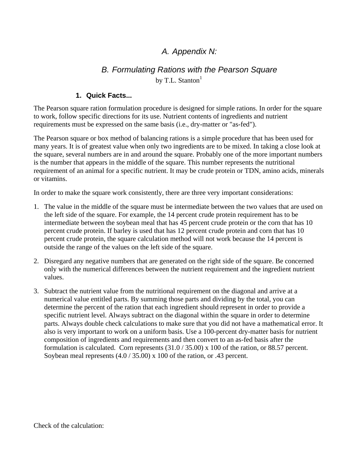# *A. Appendix N:*

# *B. Formulating Rations with the Pearson Square*  by T.L. Stanton<sup>1</sup>

## **1. Quick Facts...**

The Pearson square ration formulation procedure is designed for simple rations. In order for the square to work, follow specific directions for its use. Nutrient contents of ingredients and nutrient requirements must be expressed on the same basis (i.e., dry-matter or "as-fed").

The Pearson square or box method of balancing rations is a simple procedure that has been used for many years. It is of greatest value when only two ingredients are to be mixed. In taking a close look at the square, several numbers are in and around the square. Probably one of the more important numbers is the number that appears in the middle of the square. This number represents the nutritional requirement of an animal for a specific nutrient. It may be crude protein or TDN, amino acids, minerals or vitamins.

In order to make the square work consistently, there are three very important considerations:

- 1. The value in the middle of the square must be intermediate between the two values that are used on the left side of the square. For example, the 14 percent crude protein requirement has to be intermediate between the soybean meal that has 45 percent crude protein or the corn that has 10 percent crude protein. If barley is used that has 12 percent crude protein and corn that has 10 percent crude protein, the square calculation method will not work because the 14 percent is outside the range of the values on the left side of the square.
- 2. Disregard any negative numbers that are generated on the right side of the square. Be concerned only with the numerical differences between the nutrient requirement and the ingredient nutrient values.
- 3. Subtract the nutrient value from the nutritional requirement on the diagonal and arrive at a numerical value entitled parts. By summing those parts and dividing by the total, you can determine the percent of the ration that each ingredient should represent in order to provide a specific nutrient level. Always subtract on the diagonal within the square in order to determine parts. Always double check calculations to make sure that you did not have a mathematical error. It also is very important to work on a uniform basis. Use a 100-percent dry-matter basis for nutrient composition of ingredients and requirements and then convert to an as-fed basis after the formulation is calculated. Corn represents (31.0 / 35.00) x 100 of the ration, or 88.57 percent. Soybean meal represents (4.0 / 35.00) x 100 of the ration, or .43 percent.

Check of the calculation: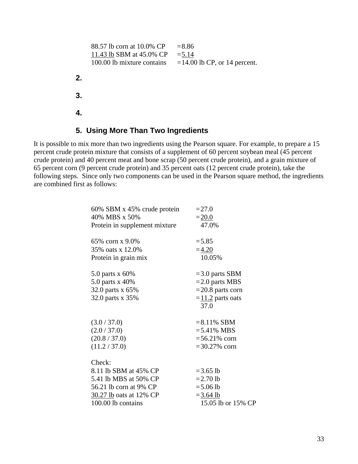```
88.57 lb corn at 10.0\% CP =8.86
     11.43 lb SBM at 45.0\% CP = 5.14
     100.00 lb mixture contains =14.00 lb CP, or 14 percent.
2. 
3. 
4.
```
## **5. Using More Than Two Ingredients**

It is possible to mix more than two ingredients using the Pearson square. For example, to prepare a 15 percent crude protein mixture that consists of a supplement of 60 percent soybean meal (45 percent crude protein) and 40 percent meat and bone scrap (50 percent crude protein), and a grain mixture of 65 percent corn (9 percent crude protein) and 35 percent oats (12 percent crude protein), take the following steps. Since only two components can be used in the Pearson square method, the ingredients are combined first as follows:

| 60% SBM x 45% crude protein   | $= 27.0$                       |
|-------------------------------|--------------------------------|
| 40% MBS x 50%                 | $=20.0$                        |
| Protein in supplement mixture | 47.0%                          |
|                               |                                |
| 65% corn x 9.0%               | $= 5.85$                       |
| 35% oats x 12.0%              | $=4.20$                        |
| Protein in grain mix          | 10.05%                         |
| 5.0 parts x 60%               | $=$ 3.0 parts SBM              |
| 5.0 parts x 40%               | $=$ 2.0 parts MBS              |
|                               |                                |
| 32.0 parts x 65%              | $=$ 20.8 parts corn            |
| 32.0 parts x 35%              | $=\underline{11.2}$ parts oats |
|                               | 37.0                           |
| (3.0 / 37.0)                  | $= 8.11\%$ SBM                 |
| (2.0 / 37.0)                  | $= 5.41\% \text{ MBS}$         |
| (20.8 / 37.0)                 | $= 56.21\%$ corn               |
| (11.2 / 37.0)                 | $= 30.27\%$ corn               |
|                               |                                |
| Check:                        |                                |
| 8.11 lb SBM at 45% CP         | $= 3.65$ lb                    |
| 5.41 lb MBS at 50% CP         | $= 2.70$ lb                    |
| 56.21 lb corn at 9% CP        | $= 5.06$ lb                    |
| 30.27 lb oats at 12% CP       | $= 3.64$ lb                    |
| 100.00 lb contains            | 15.05 lb or 15% CP             |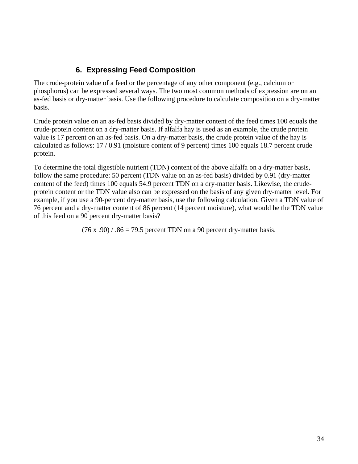## **6. Expressing Feed Composition**

The crude-protein value of a feed or the percentage of any other component (e.g., calcium or phosphorus) can be expressed several ways. The two most common methods of expression are on an as-fed basis or dry-matter basis. Use the following procedure to calculate composition on a dry-matter basis.

Crude protein value on an as-fed basis divided by dry-matter content of the feed times 100 equals the crude-protein content on a dry-matter basis. If alfalfa hay is used as an example, the crude protein value is 17 percent on an as-fed basis. On a dry-matter basis, the crude protein value of the hay is calculated as follows: 17 / 0.91 (moisture content of 9 percent) times 100 equals 18.7 percent crude protein.

To determine the total digestible nutrient (TDN) content of the above alfalfa on a dry-matter basis, follow the same procedure: 50 percent (TDN value on an as-fed basis) divided by 0.91 (dry-matter content of the feed) times 100 equals 54.9 percent TDN on a dry-matter basis. Likewise, the crudeprotein content or the TDN value also can be expressed on the basis of any given dry-matter level. For example, if you use a 90-percent dry-matter basis, use the following calculation. Given a TDN value of 76 percent and a dry-matter content of 86 percent (14 percent moisture), what would be the TDN value of this feed on a 90 percent dry-matter basis?

 $(76 \times .90) / .86 = 79.5$  percent TDN on a 90 percent dry-matter basis.